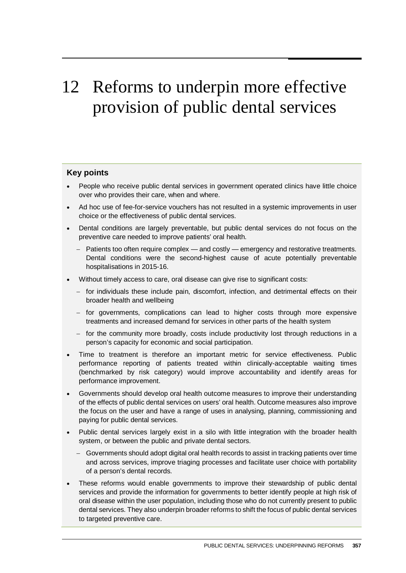# 12 Reforms to underpin more effective provision of public dental services

#### **Key points**

- People who receive public dental services in government operated clinics have little choice over who provides their care, when and where.
- Ad hoc use of fee-for-service vouchers has not resulted in a systemic improvements in user choice or the effectiveness of public dental services.
- Dental conditions are largely preventable, but public dental services do not focus on the preventive care needed to improve patients' oral health.
	- − Patients too often require complex and costly emergency and restorative treatments. Dental conditions were the second-highest cause of acute potentially preventable hospitalisations in 2015-16.
- Without timely access to care, oral disease can give rise to significant costs:
	- − for individuals these include pain, discomfort, infection, and detrimental effects on their broader health and wellbeing
	- − for governments, complications can lead to higher costs through more expensive treatments and increased demand for services in other parts of the health system
	- − for the community more broadly, costs include productivity lost through reductions in a person's capacity for economic and social participation.
- Time to treatment is therefore an important metric for service effectiveness. Public performance reporting of patients treated within clinically-acceptable waiting times (benchmarked by risk category) would improve accountability and identify areas for performance improvement.
- Governments should develop oral health outcome measures to improve their understanding of the effects of public dental services on users' oral health. Outcome measures also improve the focus on the user and have a range of uses in analysing, planning, commissioning and paying for public dental services.
- Public dental services largely exist in a silo with little integration with the broader health system, or between the public and private dental sectors.
	- − Governments should adopt digital oral health records to assist in tracking patients over time and across services, improve triaging processes and facilitate user choice with portability of a person's dental records.
- These reforms would enable governments to improve their stewardship of public dental services and provide the information for governments to better identify people at high risk of oral disease within the user population, including those who do not currently present to public dental services. They also underpin broader reforms to shift the focus of public dental services to targeted preventive care.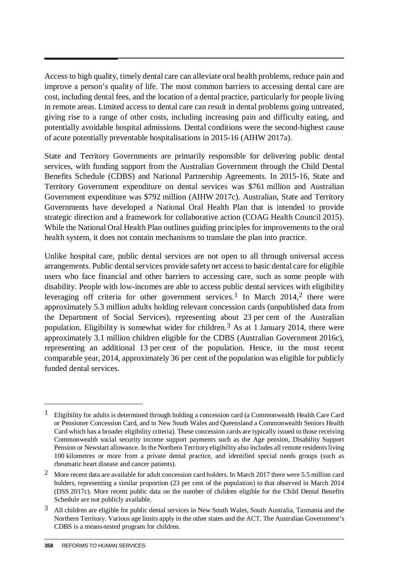Access to high quality, timely dental care can alleviate oral health problems, reduce pain and improve a person's quality of life. The most common barriers to accessing dental care are cost, including dental fees, and the location of a dental practice, particularly for people living in remote areas. Limited access to dental care can result in dental problems going untreated, giving rise to a range of other costs, including increasing pain and difficulty eating, and potentially avoidable hospital admissions. Dental conditions were the second-highest cause of acute potentially preventable hospitalisations in 2015-16 (AIHW 2017a).

State and Territory Governments are primarily responsible for delivering public dental services, with funding support from the Australian Government through the Child Dental Benefits Schedule (CDBS) and National Partnership Agreements. In 2015-16, State and Territory Government expenditure on dental services was \$761 million and Australian Government expenditure was \$792 million (AIHW 2017c). Australian, State and Territory Governments have developed a National Oral Health Plan that is intended to provide strategic direction and a framework for collaborative action (COAG Health Council 2015). While the National Oral Health Plan outlines guiding principles for improvements to the oral health system, it does not contain mechanisms to translate the plan into practice.

Unlike hospital care, public dental services are not open to all through universal access arrangements. Public dental services provide safety net access to basic dental care for eligible users who face financial and other barriers to accessing care, such as some people with disability. People with low-incomes are able to access public dental services with eligibility leveraging off criteria for other government services.<sup>1</sup> In March 2014,<sup>2</sup> there were approximately 5.3 million adults holding relevant concession cards (unpublished data from the Department of Social Services), representing about 23 per cent of the Australian population. Eligibility is somewhat wider for children.<sup>[3](#page-1-2)</sup> As at 1 January 2014, there were approximately 3.1 million children eligible for the CDBS (Australian Government 2016c), representing an additional 13 per cent of the population. Hence, in the most recent comparable year, 2014, approximately 36 per cent of the population was eligible for publicly funded dental services.

-

<span id="page-1-0"></span><sup>&</sup>lt;sup>1</sup> Eligibility for adults is determined through holding a concession card (a Commonwealth Health Care Card or Pensioner Concession Card, and in New South Wales and Queensland a Commonwealth Seniors Health Card which has a broader eligibility criteria). These concession cards are typically issued to those receiving Commonwealth social security income support payments such as the Age pension, Disability Support Pension or Newstart allowance. In the Northern Territory eligibility also includes all remote residents living 100 kilometres or more from a private dental practice, and identified special needs groups (such as rheumatic heart disease and cancer patients).

<span id="page-1-1"></span><sup>2</sup> More recent data are available for adult concession card holders. In March 2017 there were 5.5 million card holders, representing a similar proportion (23 per cent of the population) to that observed in March 2014 (DSS 2017c). More recent public data on the number of children eligible for the Child Dental Benefits Schedule are not publicly available.

<span id="page-1-2"></span><sup>3</sup> All children are eligible for public dental services in New South Wales, South Australia, Tasmania and the Northern Territory. Various age limits apply in the other states and the ACT. The Australian Government's CDBS is a means-tested program for children.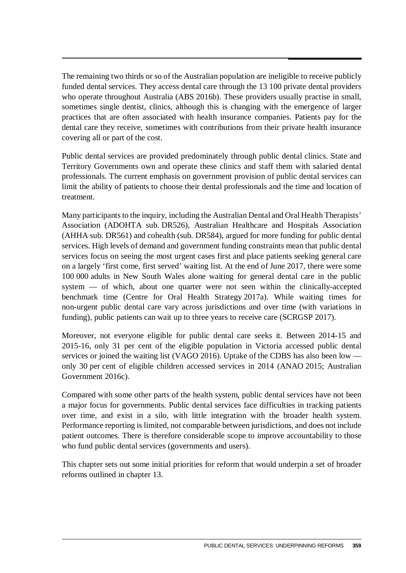The remaining two thirds or so of the Australian population are ineligible to receive publicly funded dental services. They access dental care through the 13 100 private dental providers who operate throughout Australia (ABS 2016b). These providers usually practise in small, sometimes single dentist, clinics, although this is changing with the emergence of larger practices that are often associated with health insurance companies. Patients pay for the dental care they receive, sometimes with contributions from their private health insurance covering all or part of the cost.

Public dental services are provided predominately through public dental clinics. State and Territory Governments own and operate these clinics and staff them with salaried dental professionals. The current emphasis on government provision of public dental services can limit the ability of patients to choose their dental professionals and the time and location of treatment.

Many participants to the inquiry, including the Australian Dental and Oral Health Therapists' Association (ADOHTA sub. DR526), Australian Healthcare and Hospitals Association (AHHA sub. DR561) and cohealth (sub. DR584), argued for more funding for public dental services. High levels of demand and government funding constraints mean that public dental services focus on seeing the most urgent cases first and place patients seeking general care on a largely 'first come, first served' waiting list. At the end of June 2017, there were some 100 000 adults in New South Wales alone waiting for general dental care in the public system — of which, about one quarter were not seen within the clinically-accepted benchmark time (Centre for Oral Health Strategy 2017a). While waiting times for non-urgent public dental care vary across jurisdictions and over time (with variations in funding), public patients can wait up to three years to receive care (SCRGSP 2017).

Moreover, not everyone eligible for public dental care seeks it. Between 2014-15 and 2015-16, only 31 per cent of the eligible population in Victoria accessed public dental services or joined the waiting list (VAGO 2016). Uptake of the CDBS has also been low only 30 per cent of eligible children accessed services in 2014 (ANAO 2015; Australian Government 2016c).

Compared with some other parts of the health system, public dental services have not been a major focus for governments. Public dental services face difficulties in tracking patients over time, and exist in a silo, with little integration with the broader health system. Performance reporting is limited, not comparable between jurisdictions, and does not include patient outcomes. There is therefore considerable scope to improve accountability to those who fund public dental services (governments and users).

This chapter sets out some initial priorities for reform that would underpin a set of broader reforms outlined in chapter 13.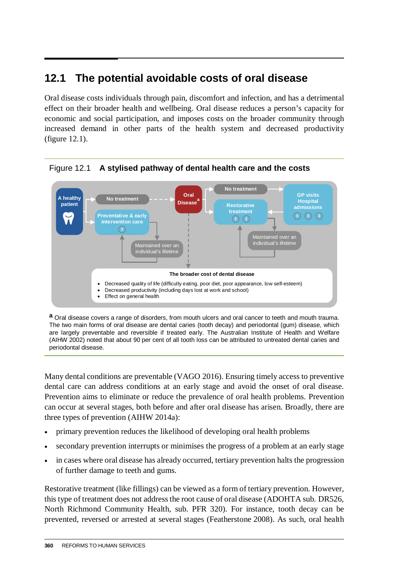# **12.1 The potential avoidable costs of oral disease**

Oral disease costs individuals through pain, discomfort and infection, and has a detrimental effect on their broader health and wellbeing. Oral disease reduces a person's capacity for economic and social participation, and imposes costs on the broader community through  increased demand in other parts of the health system and decreased productivity (figure 12.1).



Figure 12.1 **A stylised pathway of dental health care and the costs**

**a** Oral disease covers a range of disorders, from mouth ulcers and oral cancer to teeth and mouth trauma. The two main forms of oral disease are dental caries (tooth decay) and periodontal (gum) disease, which are largely preventable and reversible if treated early. The Australian Institute of Health and Welfare (AIHW 2002) noted that about 90 per cent of all tooth loss can be attributed to untreated dental caries and periodontal disease.

Many dental conditions are preventable (VAGO 2016). Ensuring timely access to preventive dental care can address conditions at an early stage and avoid the onset of oral disease. Prevention aims to eliminate or reduce the prevalence of oral health problems. Prevention can occur at several stages, both before and after oral disease has arisen. Broadly, there are three types of prevention (AIHW 2014a):

- primary prevention reduces the likelihood of developing oral health problems
- secondary prevention interrupts or minimises the progress of a problem at an early stage
- in cases where oral disease has already occurred, tertiary prevention halts the progression of further damage to teeth and gums.

Restorative treatment (like fillings) can be viewed as a form of tertiary prevention. However, this type of treatment does not address the root cause of oral disease (ADOHTA sub. DR526, North Richmond Community Health, sub. PFR 320). For instance, tooth decay can be prevented, reversed or arrested at several stages (Featherstone 2008). As such, oral health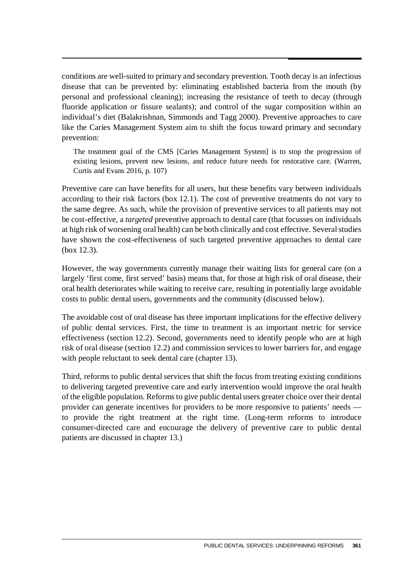conditions are well-suited to primary and secondary prevention. Tooth decay is an infectious disease that can be prevented by: eliminating established bacteria from the mouth (by personal and professional cleaning); increasing the resistance of teeth to decay (through fluoride application or fissure sealants); and control of the sugar composition within an individual's diet (Balakrishnan, Simmonds and Tagg 2000). Preventive approaches to care like the Caries Management System aim to shift the focus toward primary and secondary prevention:

The treatment goal of the CMS [Caries Management System] is to stop the progression of existing lesions, prevent new lesions, and reduce future needs for restorative care. (Warren, Curtis and Evans 2016, p. 107)

Preventive care can have benefits for all users, but these benefits vary between individuals according to their risk factors (box 12.1). The cost of preventive treatments do not vary to the same degree. As such, while the provision of preventive services to all patients may not be cost-effective, a *targeted* preventive approach to dental care (that focusses on individuals at high risk of worsening oral health) can be both clinically and cost effective. Severalstudies have shown the cost-effectiveness of such targeted preventive approaches to dental care (box 12.3).

However, the way governments currently manage their waiting lists for general care (on a largely 'first come, first served' basis) means that, for those at high risk of oral disease, their oral health deteriorates while waiting to receive care, resulting in potentially large avoidable costs to public dental users, governments and the community (discussed below).

The avoidable cost of oral disease has three important implications for the effective delivery of public dental services. First, the time to treatment is an important metric for service effectiveness (section 12.2). Second, governments need to identify people who are at high risk of oral disease (section 12.2) and commission services to lower barriers for, and engage with people reluctant to seek dental care (chapter 13).

Third, reforms to public dental services that shift the focus from treating existing conditions to delivering targeted preventive care and early intervention would improve the oral health of the eligible population. Reforms to give public dental users greater choice over their dental provider can generate incentives for providers to be more responsive to patients' needs to provide the right treatment at the right time. (Long-term reforms to introduce consumer-directed care and encourage the delivery of preventive care to public dental patients are discussed in chapter 13.)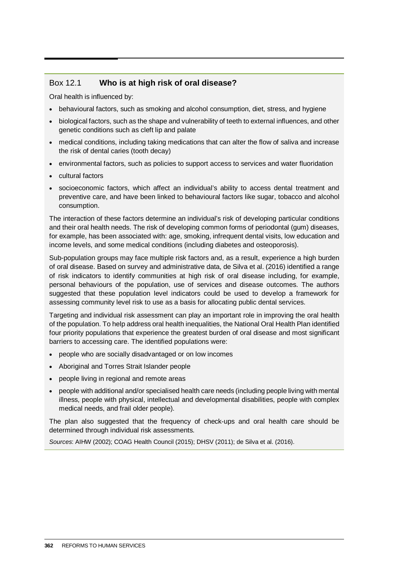### Box 12.1 **Who is at high risk of oral disease?**

Oral health is influenced by:

- behavioural factors, such as smoking and alcohol consumption, diet, stress, and hygiene
- biological factors, such as the shape and vulnerability of teeth to external influences, and other genetic conditions such as cleft lip and palate
- medical conditions, including taking medications that can alter the flow of saliva and increase the risk of dental caries (tooth decay)
- environmental factors, such as policies to support access to services and water fluoridation
- cultural factors
- socioeconomic factors, which affect an individual's ability to access dental treatment and preventive care, and have been linked to behavioural factors like sugar, tobacco and alcohol consumption.

The interaction of these factors determine an individual's risk of developing particular conditions and their oral health needs. The risk of developing common forms of periodontal (gum) diseases, for example, has been associated with: age, smoking, infrequent dental visits, low education and income levels, and some medical conditions (including diabetes and osteoporosis).

Sub-population groups may face multiple risk factors and, as a result, experience a high burden of oral disease. Based on survey and administrative data, de Silva et al. (2016) identified a range of risk indicators to identify communities at high risk of oral disease including, for example, personal behaviours of the population, use of services and disease outcomes. The authors suggested that these population level indicators could be used to develop a framework for assessing community level risk to use as a basis for allocating public dental services.

Targeting and individual risk assessment can play an important role in improving the oral health of the population. To help address oral health inequalities, the National Oral Health Plan identified four priority populations that experience the greatest burden of oral disease and most significant barriers to accessing care. The identified populations were:

- people who are socially disadvantaged or on low incomes
- Aboriginal and Torres Strait Islander people
- people living in regional and remote areas
- people with additional and/or specialised health care needs (including people living with mental illness, people with physical, intellectual and developmental disabilities, people with complex medical needs, and frail older people).

The plan also suggested that the frequency of check-ups and oral health care should be determined through individual risk assessments.

*Sources*: AIHW (2002); COAG Health Council (2015); DHSV (2011); de Silva et al. (2016).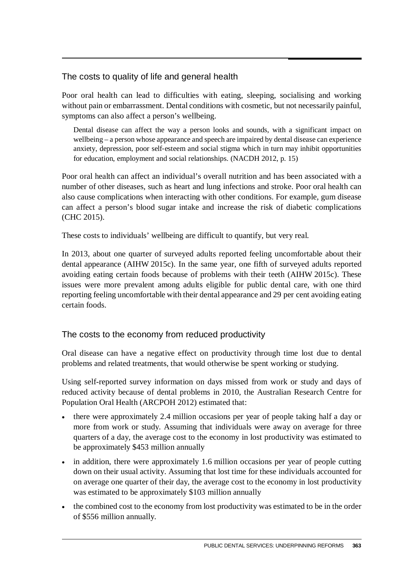# The costs to quality of life and general health

Poor oral health can lead to difficulties with eating, sleeping, socialising and working without pain or embarrassment. Dental conditions with cosmetic, but not necessarily painful, symptoms can also affect a person's wellbeing.

Dental disease can affect the way a person looks and sounds, with a significant impact on wellbeing – a person whose appearance and speech are impaired by dental disease can experience anxiety, depression, poor self‐esteem and social stigma which in turn may inhibit opportunities for education, employment and social relationships. (NACDH 2012, p. 15)

Poor oral health can affect an individual's overall nutrition and has been associated with a number of other diseases, such as heart and lung infections and stroke. Poor oral health can also cause complications when interacting with other conditions. For example, gum disease can affect a person's blood sugar intake and increase the risk of diabetic complications (CHC 2015).

These costs to individuals' wellbeing are difficult to quantify, but very real.

In 2013, about one quarter of surveyed adults reported feeling uncomfortable about their dental appearance (AIHW 2015c). In the same year, one fifth of surveyed adults reported avoiding eating certain foods because of problems with their teeth (AIHW 2015c). These issues were more prevalent among adults eligible for public dental care, with one third reporting feeling uncomfortable with their dental appearance and 29 per cent avoiding eating certain foods.

#### The costs to the economy from reduced productivity

Oral disease can have a negative effect on productivity through time lost due to dental problems and related treatments, that would otherwise be spent working or studying.

Using self-reported survey information on days missed from work or study and days of reduced activity because of dental problems in 2010, the Australian Research Centre for Population Oral Health (ARCPOH 2012) estimated that:

- there were approximately 2.4 million occasions per year of people taking half a day or more from work or study. Assuming that individuals were away on average for three quarters of a day, the average cost to the economy in lost productivity was estimated to be approximately \$453 million annually
- in addition, there were approximately 1.6 million occasions per year of people cutting down on their usual activity. Assuming that lost time for these individuals accounted for on average one quarter of their day, the average cost to the economy in lost productivity was estimated to be approximately \$103 million annually
- the combined cost to the economy from lost productivity was estimated to be in the order of \$556 million annually.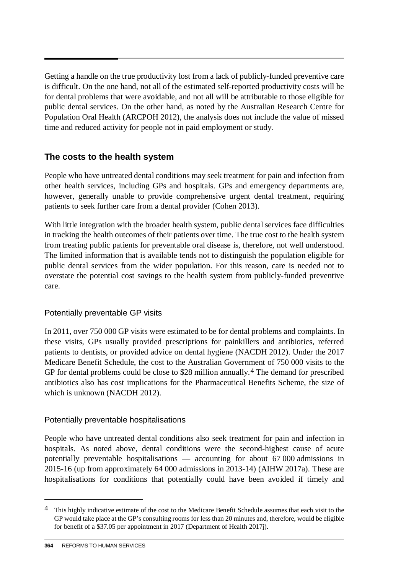Getting a handle on the true productivity lost from a lack of publicly-funded preventive care is difficult. On the one hand, not all of the estimated self-reported productivity costs will be for dental problems that were avoidable, and not all will be attributable to those eligible for public dental services. On the other hand, as noted by the Australian Research Centre for Population Oral Health (ARCPOH 2012), the analysis does not include the value of missed time and reduced activity for people not in paid employment or study.

# **The costs to the health system**

People who have untreated dental conditions may seek treatment for pain and infection from other health services, including GPs and hospitals. GPs and emergency departments are, however, generally unable to provide comprehensive urgent dental treatment, requiring patients to seek further care from a dental provider (Cohen 2013).

With little integration with the broader health system, public dental services face difficulties in tracking the health outcomes of their patients over time. The true cost to the health system from treating public patients for preventable oral disease is, therefore, not well understood. The limited information that is available tends not to distinguish the population eligible for public dental services from the wider population. For this reason, care is needed not to overstate the potential cost savings to the health system from publicly-funded preventive care.

#### Potentially preventable GP visits

In 2011, over 750 000 GP visits were estimated to be for dental problems and complaints. In these visits, GPs usually provided prescriptions for painkillers and antibiotics, referred patients to dentists, or provided advice on dental hygiene (NACDH 2012). Under the 2017 Medicare Benefit Schedule, the cost to the Australian Government of 750 000 visits to the GP for dental problems could be close to \$28 million annually.<sup>[4](#page-7-0)</sup> The demand for prescribed antibiotics also has cost implications for the Pharmaceutical Benefits Scheme, the size of which is unknown (NACDH 2012).

#### Potentially preventable hospitalisations

People who have untreated dental conditions also seek treatment for pain and infection in hospitals. As noted above, dental conditions were the second-highest cause of acute potentially preventable hospitalisations — accounting for about 67 000 admissions in 2015-16 (up from approximately 64 000 admissions in 2013-14) (AIHW 2017a). These are hospitalisations for conditions that potentially could have been avoided if timely and

-

<span id="page-7-0"></span><sup>4</sup> This highly indicative estimate of the cost to the Medicare Benefit Schedule assumes that each visit to the GP would take place at the GP's consulting rooms for less than 20 minutes and, therefore, would be eligible for benefit of a \$37.05 per appointment in 2017 (Department of Health 2017j).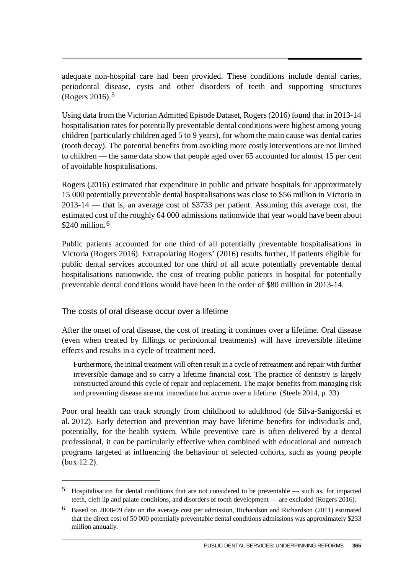adequate non-hospital care had been provided. These conditions include dental caries, periodontal disease, cysts and other disorders of teeth and supporting structures (Rogers 2016).[5](#page-8-0)

Using data from the Victorian Admitted Episode Dataset, Rogers (2016) found that in 2013-14 hospitalisation rates for potentially preventable dental conditions were highest among young children (particularly children aged 5 to 9 years), for whom the main cause was dental caries (tooth decay). The potential benefits from avoiding more costly interventions are not limited to children — the same data show that people aged over 65 accounted for almost 15 per cent of avoidable hospitalisations.

Rogers (2016) estimated that expenditure in public and private hospitals for approximately 15 000 potentially preventable dental hospitalisations was close to \$56 million in Victoria in 2013-14 — that is, an average cost of \$3733 per patient. Assuming this average cost, the estimated cost of the roughly 64 000 admissions nationwide that year would have been about \$240 million.<sup>[6](#page-8-1)</sup>

Public patients accounted for one third of all potentially preventable hospitalisations in Victoria (Rogers 2016). Extrapolating Rogers' (2016) results further, if patients eligible for public dental services accounted for one third of all acute potentially preventable dental hospitalisations nationwide, the cost of treating public patients in hospital for potentially preventable dental conditions would have been in the order of \$80 million in 2013-14.

The costs of oral disease occur over a lifetime

 $\overline{a}$ 

After the onset of oral disease, the cost of treating it continues over a lifetime. Oral disease (even when treated by fillings or periodontal treatments) will have irreversible lifetime effects and results in a cycle of treatment need.

Furthermore, the initial treatment will often result in a cycle of retreatment and repair with further irreversible damage and so carry a lifetime financial cost. The practice of dentistry is largely constructed around this cycle of repair and replacement. The major benefits from managing risk and preventing disease are not immediate but accrue over a lifetime. (Steele 2014, p. 33)

Poor oral health can track strongly from childhood to adulthood (de Silva-Sanigorski et al. 2012). Early detection and prevention may have lifetime benefits for individuals and, potentially, for the health system. While preventive care is often delivered by a dental professional, it can be particularly effective when combined with educational and outreach programs targeted at influencing the behaviour of selected cohorts, such as young people (box 12.2).

<span id="page-8-0"></span><sup>5</sup> Hospitalisation for dental conditions that are not considered to be preventable — such as, for impacted teeth, cleft lip and palate conditions, and disorders of tooth development — are excluded (Rogers 2016).

<span id="page-8-1"></span><sup>6</sup> Based on 2008-09 data on the average cost per admission, Richardson and Richardson (2011) estimated that the direct cost of 50 000 potentially preventable dental conditions admissions was approximately \$233 million annually.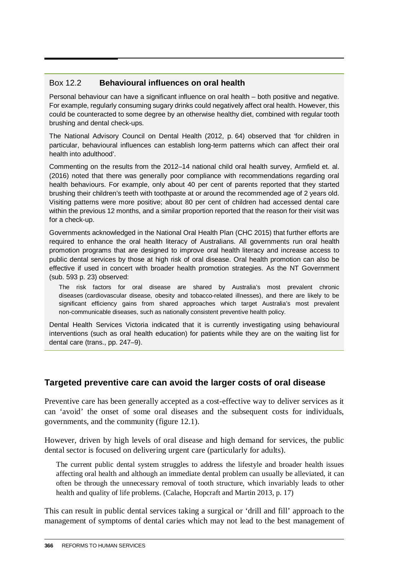### Box 12.2 **Behavioural influences on oral health**

Personal behaviour can have a significant influence on oral health – both positive and negative. For example, regularly consuming sugary drinks could negatively affect oral health. However, this could be counteracted to some degree by an otherwise healthy diet, combined with regular tooth brushing and dental check-ups.

The National Advisory Council on Dental Health (2012, p. 64) observed that 'for children in particular, behavioural influences can establish long-term patterns which can affect their oral health into adulthood'.

Commenting on the results from the 2012–14 national child oral health survey, Armfield et. al. (2016) noted that there was generally poor compliance with recommendations regarding oral health behaviours. For example, only about 40 per cent of parents reported that they started brushing their children's teeth with toothpaste at or around the recommended age of 2 years old. Visiting patterns were more positive; about 80 per cent of children had accessed dental care within the previous 12 months, and a similar proportion reported that the reason for their visit was for a check-up.

Governments acknowledged in the National Oral Health Plan (CHC 2015) that further efforts are required to enhance the oral health literacy of Australians. All governments run oral health promotion programs that are designed to improve oral health literacy and increase access to public dental services by those at high risk of oral disease. Oral health promotion can also be effective if used in concert with broader health promotion strategies. As the NT Government (sub. 593 p. 23) observed:

The risk factors for oral disease are shared by Australia's most prevalent chronic diseases (cardiovascular disease, obesity and tobacco-related illnesses), and there are likely to be significant efficiency gains from shared approaches which target Australia's most prevalent non-communicable diseases, such as nationally consistent preventive health policy.

Dental Health Services Victoria indicated that it is currently investigating using behavioural interventions (such as oral health education) for patients while they are on the waiting list for dental care (trans., pp. 247–9).

# **Targeted preventive care can avoid the larger costs of oral disease**

Preventive care has been generally accepted as a cost-effective way to deliver services as it can 'avoid' the onset of some oral diseases and the subsequent costs for individuals, governments, and the community (figure 12.1).

However, driven by high levels of oral disease and high demand for services, the public dental sector is focused on delivering urgent care (particularly for adults).

The current public dental system struggles to address the lifestyle and broader health issues affecting oral health and although an immediate dental problem can usually be alleviated, it can often be through the unnecessary removal of tooth structure, which invariably leads to other health and quality of life problems. (Calache, Hopcraft and Martin 2013, p. 17)

This can result in public dental services taking a surgical or 'drill and fill' approach to the management of symptoms of dental caries which may not lead to the best management of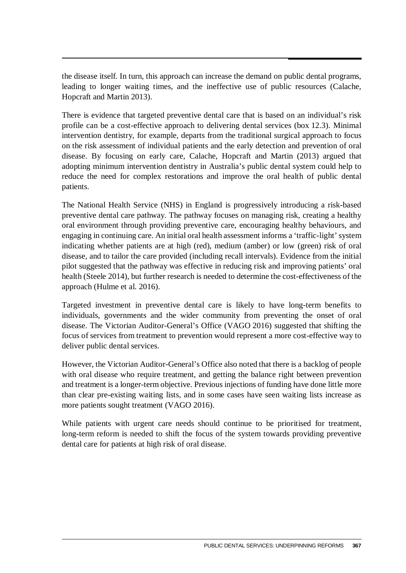the disease itself. In turn, this approach can increase the demand on public dental programs, leading to longer waiting times, and the ineffective use of public resources (Calache, Hopcraft and Martin 2013).

There is evidence that targeted preventive dental care that is based on an individual's risk profile can be a cost-effective approach to delivering dental services (box 12.3). Minimal intervention dentistry, for example, departs from the traditional surgical approach to focus on the risk assessment of individual patients and the early detection and prevention of oral disease. By focusing on early care, Calache, Hopcraft and Martin (2013) argued that adopting minimum intervention dentistry in Australia's public dental system could help to reduce the need for complex restorations and improve the oral health of public dental patients.

The National Health Service (NHS) in England is progressively introducing a risk-based preventive dental care pathway. The pathway focuses on managing risk, creating a healthy oral environment through providing preventive care, encouraging healthy behaviours, and engaging in continuing care. An initial oral health assessment informs a 'traffic-light' system indicating whether patients are at high (red), medium (amber) or low (green) risk of oral disease, and to tailor the care provided (including recall intervals). Evidence from the initial pilot suggested that the pathway was effective in reducing risk and improving patients' oral health (Steele 2014), but further research is needed to determine the cost-effectiveness of the approach (Hulme et al. 2016).

Targeted investment in preventive dental care is likely to have long-term benefits to individuals, governments and the wider community from preventing the onset of oral disease. The Victorian Auditor-General's Office (VAGO 2016) suggested that shifting the focus of services from treatment to prevention would represent a more cost-effective way to deliver public dental services.

However, the Victorian Auditor-General's Office also noted that there is a backlog of people with oral disease who require treatment, and getting the balance right between prevention and treatment is a longer-term objective. Previous injections of funding have done little more than clear pre-existing waiting lists, and in some cases have seen waiting lists increase as more patients sought treatment (VAGO 2016).

While patients with urgent care needs should continue to be prioritised for treatment, long-term reform is needed to shift the focus of the system towards providing preventive dental care for patients at high risk of oral disease.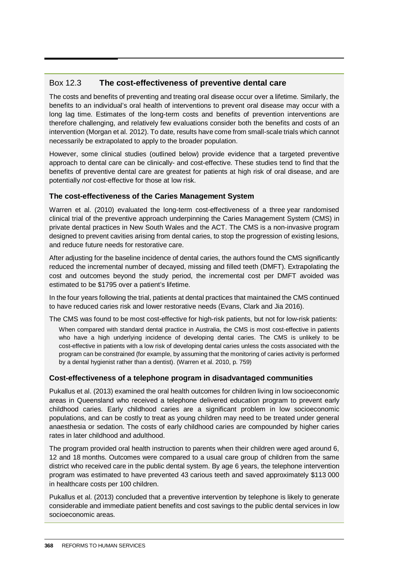#### Box 12.3 **The cost-effectiveness of preventive dental care**

The costs and benefits of preventing and treating oral disease occur over a lifetime. Similarly, the benefits to an individual's oral health of interventions to prevent oral disease may occur with a long lag time. Estimates of the long-term costs and benefits of prevention interventions are therefore challenging, and relatively few evaluations consider both the benefits and costs of an intervention (Morgan et al. 2012). To date, results have come from small-scale trials which cannot necessarily be extrapolated to apply to the broader population.

However, some clinical studies (outlined below) provide evidence that a targeted preventive approach to dental care can be clinically- and cost-effective. These studies tend to find that the benefits of preventive dental care are greatest for patients at high risk of oral disease, and are potentially *not* cost-effective for those at low risk.

#### **The cost-effectiveness of the Caries Management System**

Warren et al. (2010) evaluated the long-term cost-effectiveness of a three year randomised clinical trial of the preventive approach underpinning the Caries Management System (CMS) in private dental practices in New South Wales and the ACT. The CMS is a non-invasive program designed to prevent cavities arising from dental caries, to stop the progression of existing lesions, and reduce future needs for restorative care.

After adjusting for the baseline incidence of dental caries, the authors found the CMS significantly reduced the incremental number of decayed, missing and filled teeth (DMFT). Extrapolating the cost and outcomes beyond the study period, the incremental cost per DMFT avoided was estimated to be \$1795 over a patient's lifetime.

In the four years following the trial, patients at dental practices that maintained the CMS continued to have reduced caries risk and lower restorative needs (Evans, Clark and Jia 2016).

The CMS was found to be most cost-effective for high-risk patients, but not for low-risk patients:

When compared with standard dental practice in Australia, the CMS is most cost-effective in patients who have a high underlying incidence of developing dental caries. The CMS is unlikely to be cost-effective in patients with a low risk of developing dental caries unless the costs associated with the program can be constrained (for example, by assuming that the monitoring of caries activity is performed by a dental hygienist rather than a dentist). (Warren et al. 2010, p. 759)

#### **Cost-effectiveness of a telephone program in disadvantaged communities**

Pukallus et al. (2013) examined the oral health outcomes for children living in low socioeconomic areas in Queensland who received a telephone delivered education program to prevent early childhood caries. Early childhood caries are a significant problem in low socioeconomic populations, and can be costly to treat as young children may need to be treated under general anaesthesia or sedation. The costs of early childhood caries are compounded by higher caries rates in later childhood and adulthood.

The program provided oral health instruction to parents when their children were aged around 6, 12 and 18 months. Outcomes were compared to a usual care group of children from the same district who received care in the public dental system. By age 6 years, the telephone intervention program was estimated to have prevented 43 carious teeth and saved approximately \$113 000 in healthcare costs per 100 children.

Pukallus et al. (2013) concluded that a preventive intervention by telephone is likely to generate considerable and immediate patient benefits and cost savings to the public dental services in low socioeconomic areas.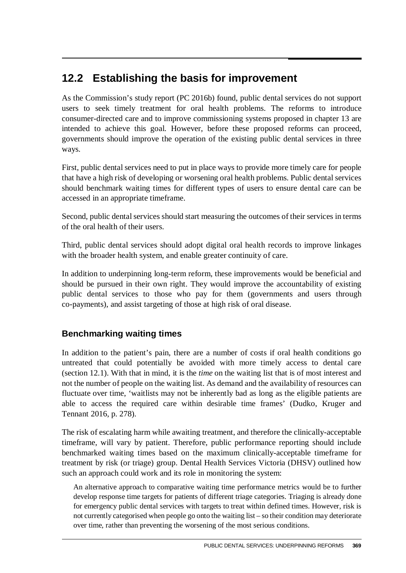# **12.2 Establishing the basis for improvement**

As the Commission's study report (PC 2016b) found, public dental services do not support users to seek timely treatment for oral health problems. The reforms to introduce consumer-directed care and to improve commissioning systems proposed in chapter 13 are intended to achieve this goal. However, before these proposed reforms can proceed, governments should improve the operation of the existing public dental services in three ways.

First, public dental services need to put in place ways to provide more timely care for people that have a high risk of developing or worsening oral health problems. Public dental services should benchmark waiting times for different types of users to ensure dental care can be accessed in an appropriate timeframe.

Second, public dental services should start measuring the outcomes of their services in terms of the oral health of their users.

Third, public dental services should adopt digital oral health records to improve linkages with the broader health system, and enable greater continuity of care.

In addition to underpinning long-term reform, these improvements would be beneficial and should be pursued in their own right. They would improve the accountability of existing public dental services to those who pay for them (governments and users through co-payments), and assist targeting of those at high risk of oral disease.

# **Benchmarking waiting times**

In addition to the patient's pain, there are a number of costs if oral health conditions go untreated that could potentially be avoided with more timely access to dental care (section 12.1). With that in mind, it is the *time* on the waiting list that is of most interest and not the number of people on the waiting list. As demand and the availability of resources can fluctuate over time, 'waitlists may not be inherently bad as long as the eligible patients are able to access the required care within desirable time frames' (Dudko, Kruger and Tennant 2016, p. 278).

The risk of escalating harm while awaiting treatment, and therefore the clinically-acceptable timeframe, will vary by patient. Therefore, public performance reporting should include benchmarked waiting times based on the maximum clinically-acceptable timeframe for treatment by risk (or triage) group. Dental Health Services Victoria (DHSV) outlined how such an approach could work and its role in monitoring the system:

An alternative approach to comparative waiting time performance metrics would be to further develop response time targets for patients of different triage categories. Triaging is already done for emergency public dental services with targets to treat within defined times. However, risk is not currently categorised when people go onto the waiting list – so their condition may deteriorate over time, rather than preventing the worsening of the most serious conditions.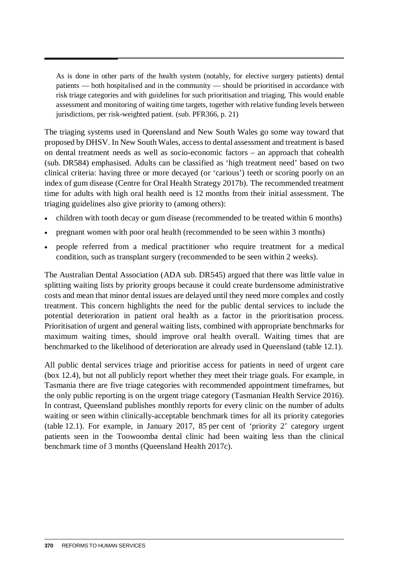As is done in other parts of the health system (notably, for elective surgery patients) dental patients — both hospitalised and in the community — should be prioritised in accordance with risk triage categories and with guidelines for such prioritisation and triaging. This would enable assessment and monitoring of waiting time targets, together with relative funding levels between jurisdictions, per risk-weighted patient. (sub. PFR366, p. 21)

The triaging systems used in Queensland and New South Wales go some way toward that proposed by DHSV. In New South Wales, access to dental assessment and treatment is based on dental treatment needs as well as socio-economic factors – an approach that cohealth (sub. DR584) emphasised. Adults can be classified as 'high treatment need' based on two clinical criteria: having three or more decayed (or 'carious') teeth or scoring poorly on an index of gum disease (Centre for Oral Health Strategy 2017b). The recommended treatment time for adults with high oral health need is 12 months from their initial assessment. The triaging guidelines also give priority to (among others):

- children with tooth decay or gum disease (recommended to be treated within 6 months)
- pregnant women with poor oral health (recommended to be seen within 3 months)
- people referred from a medical practitioner who require treatment for a medical condition, such as transplant surgery (recommended to be seen within 2 weeks).

The Australian Dental Association (ADA sub. DR545) argued that there was little value in splitting waiting lists by priority groups because it could create burdensome administrative costs and mean that minor dental issues are delayed until they need more complex and costly treatment. This concern highlights the need for the public dental services to include the potential deterioration in patient oral health as a factor in the prioritisation process. Prioritisation of urgent and general waiting lists, combined with appropriate benchmarks for maximum waiting times, should improve oral health overall. Waiting times that are benchmarked to the likelihood of deterioration are already used in Queensland (table 12.1).

All public dental services triage and prioritise access for patients in need of urgent care (box 12.4), but not all publicly report whether they meet their triage goals. For example, in Tasmania there are five triage categories with recommended appointment timeframes, but the only public reporting is on the urgent triage category (Tasmanian Health Service 2016). In contrast, Queensland publishes monthly reports for every clinic on the number of adults waiting or seen within clinically-acceptable benchmark times for all its priority categories (table 12.1). For example, in January 2017, 85 per cent of 'priority 2' category urgent patients seen in the Toowoomba dental clinic had been waiting less than the clinical benchmark time of 3 months (Queensland Health 2017c).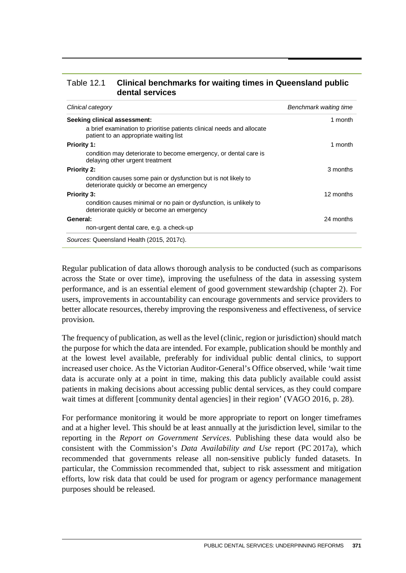| Table 12.1 | Clinical benchmarks for waiting times in Queensland public |
|------------|------------------------------------------------------------|
|            | dental services                                            |

| Clinical category                                                                                                | Benchmark waiting time |
|------------------------------------------------------------------------------------------------------------------|------------------------|
| Seeking clinical assessment:                                                                                     | 1 month                |
| a brief examination to prioritise patients clinical needs and allocate<br>patient to an appropriate waiting list |                        |
| <b>Priority 1:</b>                                                                                               | 1 month                |
| condition may deteriorate to become emergency, or dental care is<br>delaying other urgent treatment              |                        |
| <b>Priority 2:</b>                                                                                               | 3 months               |
| condition causes some pain or dysfunction but is not likely to<br>deteriorate quickly or become an emergency     |                        |
| <b>Priority 3:</b>                                                                                               | 12 months              |
| condition causes minimal or no pain or dysfunction, is unlikely to<br>deteriorate quickly or become an emergency |                        |
| General:                                                                                                         | 24 months              |
| non-urgent dental care, e.g. a check-up                                                                          |                        |
| Sources: Queensland Health (2015, 2017c).                                                                        |                        |

Regular publication of data allows thorough analysis to be conducted (such as comparisons across the State or over time), improving the usefulness of the data in assessing system performance, and is an essential element of good government stewardship (chapter 2). For users, improvements in accountability can encourage governments and service providers to better allocate resources, thereby improving the responsiveness and effectiveness, of service provision.

The frequency of publication, as well as the level (clinic, region or jurisdiction) should match the purpose for which the data are intended. For example, publication should be monthly and at the lowest level available, preferably for individual public dental clinics, to support increased user choice. As the Victorian Auditor-General's Office observed, while 'wait time data is accurate only at a point in time, making this data publicly available could assist patients in making decisions about accessing public dental services, as they could compare wait times at different [community dental agencies] in their region' (VAGO 2016, p. 28).

For performance monitoring it would be more appropriate to report on longer timeframes and at a higher level. This should be at least annually at the jurisdiction level, similar to the reporting in the *Report on Government Services*. Publishing these data would also be consistent with the Commission's *Data Availability and Use* report (PC 2017a), which recommended that governments release all non-sensitive publicly funded datasets. In particular, the Commission recommended that, subject to risk assessment and mitigation efforts, low risk data that could be used for program or agency performance management purposes should be released.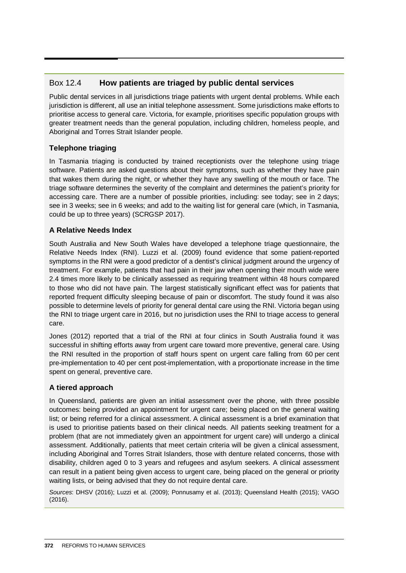### Box 12.4 **How patients are triaged by public dental services**

Public dental services in all jurisdictions triage patients with urgent dental problems. While each jurisdiction is different, all use an initial telephone assessment. Some jurisdictions make efforts to prioritise access to general care. Victoria, for example, prioritises specific population groups with greater treatment needs than the general population, including children, homeless people, and Aboriginal and Torres Strait Islander people.

#### **Telephone triaging**

In Tasmania triaging is conducted by trained receptionists over the telephone using triage software. Patients are asked questions about their symptoms, such as whether they have pain that wakes them during the night, or whether they have any swelling of the mouth or face. The triage software determines the severity of the complaint and determines the patient's priority for accessing care. There are a number of possible priorities, including: see today; see in 2 days; see in 3 weeks; see in 6 weeks; and add to the waiting list for general care (which, in Tasmania, could be up to three years) (SCRGSP 2017).

#### **A Relative Needs Index**

South Australia and New South Wales have developed a telephone triage questionnaire, the Relative Needs Index (RNI). Luzzi et al. (2009) found evidence that some patient-reported symptoms in the RNI were a good predictor of a dentist's clinical judgment around the urgency of treatment. For example, patients that had pain in their jaw when opening their mouth wide were 2.4 times more likely to be clinically assessed as requiring treatment within 48 hours compared to those who did not have pain. The largest statistically significant effect was for patients that reported frequent difficulty sleeping because of pain or discomfort. The study found it was also possible to determine levels of priority for general dental care using the RNI. Victoria began using the RNI to triage urgent care in 2016, but no jurisdiction uses the RNI to triage access to general care.

Jones (2012) reported that a trial of the RNI at four clinics in South Australia found it was successful in shifting efforts away from urgent care toward more preventive, general care. Using the RNI resulted in the proportion of staff hours spent on urgent care falling from 60 per cent pre-implementation to 40 per cent post-implementation, with a proportionate increase in the time spent on general, preventive care.

#### **A tiered approach**

In Queensland, patients are given an initial assessment over the phone, with three possible outcomes: being provided an appointment for urgent care; being placed on the general waiting list; or being referred for a clinical assessment. A clinical assessment is a brief examination that is used to prioritise patients based on their clinical needs. All patients seeking treatment for a problem (that are not immediately given an appointment for urgent care) will undergo a clinical assessment. Additionally, patients that meet certain criteria will be given a clinical assessment, including Aboriginal and Torres Strait Islanders, those with denture related concerns, those with disability, children aged 0 to 3 years and refugees and asylum seekers. A clinical assessment can result in a patient being given access to urgent care, being placed on the general or priority waiting lists, or being advised that they do not require dental care.

*Sources*: DHSV (2016); Luzzi et al. (2009); Ponnusamy et al. (2013); Queensland Health (2015); VAGO (2016).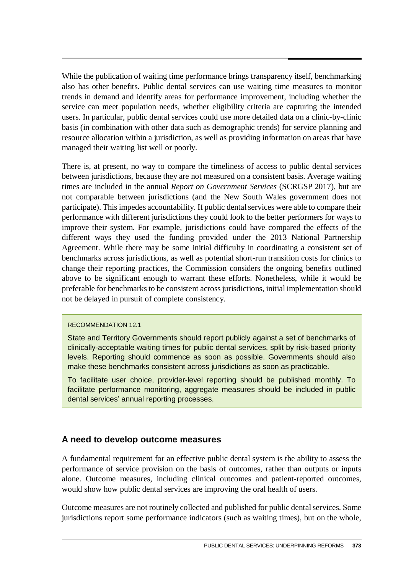While the publication of waiting time performance brings transparency itself, benchmarking also has other benefits. Public dental services can use waiting time measures to monitor trends in demand and identify areas for performance improvement, including whether the service can meet population needs, whether eligibility criteria are capturing the intended users. In particular, public dental services could use more detailed data on a clinic-by-clinic basis (in combination with other data such as demographic trends) for service planning and resource allocation within a jurisdiction, as well as providing information on areas that have managed their waiting list well or poorly.

There is, at present, no way to compare the timeliness of access to public dental services between jurisdictions, because they are not measured on a consistent basis. Average waiting times are included in the annual *Report on Government Services* (SCRGSP 2017), but are not comparable between jurisdictions (and the New South Wales government does not participate). This impedes accountability. If public dental services were able to compare their performance with different jurisdictions they could look to the better performers for ways to improve their system. For example, jurisdictions could have compared the effects of the different ways they used the funding provided under the 2013 National Partnership Agreement. While there may be some initial difficulty in coordinating a consistent set of benchmarks across jurisdictions, as well as potential short-run transition costs for clinics to change their reporting practices, the Commission considers the ongoing benefits outlined above to be significant enough to warrant these efforts. Nonetheless, while it would be preferable for benchmarks to be consistent across jurisdictions, initial implementation should not be delayed in pursuit of complete consistency.

#### RECOMMENDATION 12.1

State and Territory Governments should report publicly against a set of benchmarks of clinically-acceptable waiting times for public dental services, split by risk-based priority levels. Reporting should commence as soon as possible. Governments should also make these benchmarks consistent across jurisdictions as soon as practicable.

To facilitate user choice, provider-level reporting should be published monthly. To facilitate performance monitoring, aggregate measures should be included in public dental services' annual reporting processes.

#### **A need to develop outcome measures**

A fundamental requirement for an effective public dental system is the ability to assess the performance of service provision on the basis of outcomes, rather than outputs or inputs alone. Outcome measures, including clinical outcomes and patient-reported outcomes, would show how public dental services are improving the oral health of users.

Outcome measures are not routinely collected and published for public dental services. Some jurisdictions report some performance indicators (such as waiting times), but on the whole,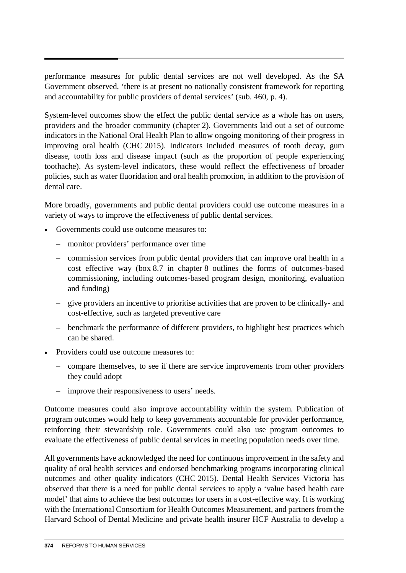performance measures for public dental services are not well developed. As the SA Government observed, 'there is at present no nationally consistent framework for reporting and accountability for public providers of dental services' (sub. 460, p. 4).

System-level outcomes show the effect the public dental service as a whole has on users, providers and the broader community (chapter 2). Governments laid out a set of outcome indicators in the National Oral Health Plan to allow ongoing monitoring of their progress in improving oral health (CHC 2015). Indicators included measures of tooth decay, gum disease, tooth loss and disease impact (such as the proportion of people experiencing toothache). As system-level indicators, these would reflect the effectiveness of broader policies, such as water fluoridation and oral health promotion, in addition to the provision of dental care.

More broadly, governments and public dental providers could use outcome measures in a variety of ways to improve the effectiveness of public dental services.

- Governments could use outcome measures to:
	- monitor providers' performance over time
	- commission services from public dental providers that can improve oral health in a cost effective way (box 8.7 in chapter 8 outlines the forms of outcomes-based commissioning, including outcomes-based program design, monitoring, evaluation and funding)
	- give providers an incentive to prioritise activities that are proven to be clinically- and cost-effective, such as targeted preventive care
	- benchmark the performance of different providers, to highlight best practices which can be shared.
- Providers could use outcome measures to:
	- compare themselves, to see if there are service improvements from other providers they could adopt
	- improve their responsiveness to users' needs.

Outcome measures could also improve accountability within the system. Publication of program outcomes would help to keep governments accountable for provider performance, reinforcing their stewardship role. Governments could also use program outcomes to evaluate the effectiveness of public dental services in meeting population needs over time.

All governments have acknowledged the need for continuous improvement in the safety and quality of oral health services and endorsed benchmarking programs incorporating clinical outcomes and other quality indicators (CHC 2015). Dental Health Services Victoria has observed that there is a need for public dental services to apply a 'value based health care model' that aims to achieve the best outcomes for users in a cost-effective way. It is working with the International Consortium for Health Outcomes Measurement, and partners from the Harvard School of Dental Medicine and private health insurer HCF Australia to develop a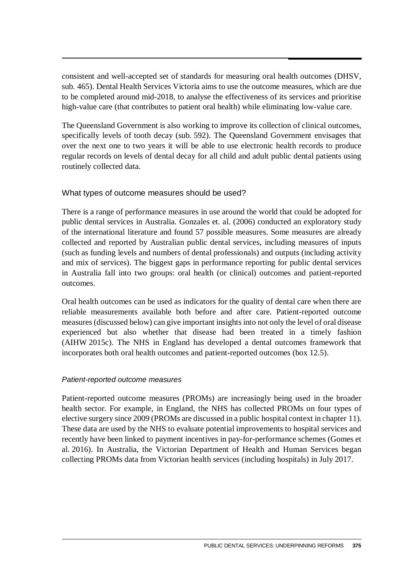consistent and well-accepted set of standards for measuring oral health outcomes (DHSV, sub. 465). Dental Health Services Victoria aims to use the outcome measures, which are due to be completed around mid-2018, to analyse the effectiveness of its services and prioritise high-value care (that contributes to patient oral health) while eliminating low-value care.

The Queensland Government is also working to improve its collection of clinical outcomes, specifically levels of tooth decay (sub. 592). The Queensland Government envisages that over the next one to two years it will be able to use electronic health records to produce regular records on levels of dental decay for all child and adult public dental patients using routinely collected data.

#### What types of outcome measures should be used?

There is a range of performance measures in use around the world that could be adopted for public dental services in Australia. Gonzales et. al. (2006) conducted an exploratory study of the international literature and found 57 possible measures. Some measures are already collected and reported by Australian public dental services, including measures of inputs (such as funding levels and numbers of dental professionals) and outputs (including activity and mix of services). The biggest gaps in performance reporting for public dental services in Australia fall into two groups: oral health (or clinical) outcomes and patient-reported outcomes.

Oral health outcomes can be used as indicators for the quality of dental care when there are reliable measurements available both before and after care. Patient-reported outcome measures (discussed below) can give important insights into not only the level of oral disease experienced but also whether that disease had been treated in a timely fashion (AIHW 2015c). The NHS in England has developed a dental outcomes framework that incorporates both oral health outcomes and patient-reported outcomes (box 12.5).

#### *Patient-reported outcome measures*

Patient-reported outcome measures (PROMs) are increasingly being used in the broader health sector. For example, in England, the NHS has collected PROMs on four types of elective surgery since 2009 (PROMs are discussed in a public hospital context in chapter 11). These data are used by the NHS to evaluate potential improvements to hospital services and recently have been linked to payment incentives in pay-for-performance schemes (Gomes et al. 2016). In Australia, the Victorian Department of Health and Human Services began collecting PROMs data from Victorian health services (including hospitals) in July 2017.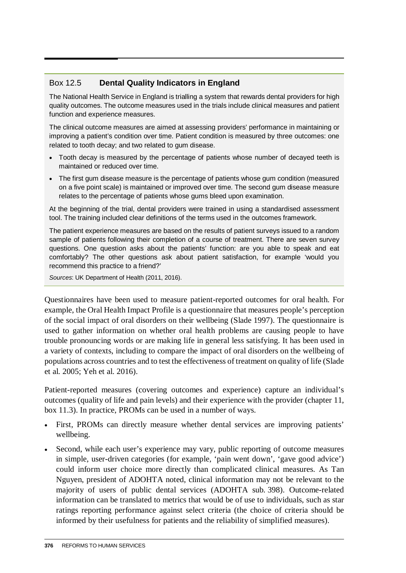# Box 12.5 **Dental Quality Indicators in England**

The National Health Service in England is trialling a system that rewards dental providers for high quality outcomes. The outcome measures used in the trials include clinical measures and patient function and experience measures.

The clinical outcome measures are aimed at assessing providers' performance in maintaining or improving a patient's condition over time. Patient condition is measured by three outcomes: one related to tooth decay; and two related to gum disease.

- Tooth decay is measured by the percentage of patients whose number of decayed teeth is maintained or reduced over time.
- The first gum disease measure is the percentage of patients whose gum condition (measured on a five point scale) is maintained or improved over time. The second gum disease measure relates to the percentage of patients whose gums bleed upon examination.

At the beginning of the trial, dental providers were trained in using a standardised assessment tool. The training included clear definitions of the terms used in the outcomes framework.

The patient experience measures are based on the results of patient surveys issued to a random sample of patients following their completion of a course of treatment. There are seven survey questions. One question asks about the patients' function: are you able to speak and eat comfortably? The other questions ask about patient satisfaction, for example 'would you recommend this practice to a friend?'

*Sources*: UK Department of Health (2011, 2016).

Questionnaires have been used to measure patient-reported outcomes for oral health. For example, the Oral Health Impact Profile is a questionnaire that measures people's perception of the social impact of oral disorders on their wellbeing (Slade 1997). The questionnaire is used to gather information on whether oral health problems are causing people to have trouble pronouncing words or are making life in general less satisfying. It has been used in a variety of contexts, including to compare the impact of oral disorders on the wellbeing of populations across countries and to test the effectiveness of treatment on quality of life (Slade et al. 2005; Yeh et al. 2016).

Patient-reported measures (covering outcomes and experience) capture an individual's outcomes (quality of life and pain levels) and their experience with the provider (chapter 11, box 11.3). In practice, PROMs can be used in a number of ways.

- First, PROMs can directly measure whether dental services are improving patients' wellbeing.
- Second, while each user's experience may vary, public reporting of outcome measures in simple, user-driven categories (for example, 'pain went down', 'gave good advice') could inform user choice more directly than complicated clinical measures. As Tan Nguyen, president of ADOHTA noted, clinical information may not be relevant to the majority of users of public dental services (ADOHTA sub. 398). Outcome-related information can be translated to metrics that would be of use to individuals, such as star ratings reporting performance against select criteria (the choice of criteria should be informed by their usefulness for patients and the reliability of simplified measures).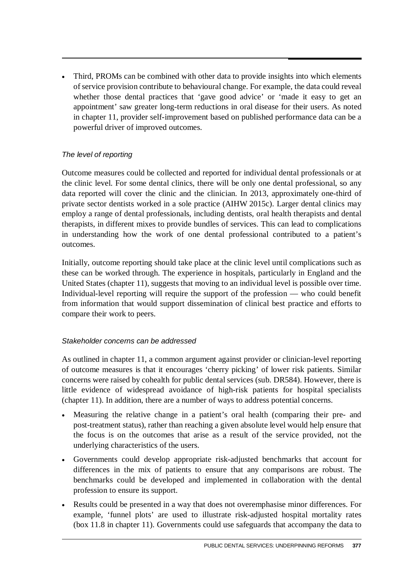• Third, PROMs can be combined with other data to provide insights into which elements of service provision contribute to behavioural change. For example, the data could reveal whether those dental practices that 'gave good advice' or 'made it easy to get an appointment' saw greater long-term reductions in oral disease for their users. As noted in chapter 11, provider self-improvement based on published performance data can be a powerful driver of improved outcomes.

#### *The level of reporting*

Outcome measures could be collected and reported for individual dental professionals or at the clinic level. For some dental clinics, there will be only one dental professional, so any data reported will cover the clinic and the clinician. In 2013, approximately one-third of private sector dentists worked in a sole practice (AIHW 2015c). Larger dental clinics may employ a range of dental professionals, including dentists, oral health therapists and dental therapists, in different mixes to provide bundles of services. This can lead to complications in understanding how the work of one dental professional contributed to a patient's outcomes.

Initially, outcome reporting should take place at the clinic level until complications such as these can be worked through. The experience in hospitals, particularly in England and the United States (chapter 11), suggests that moving to an individual level is possible over time. Individual-level reporting will require the support of the profession — who could benefit from information that would support dissemination of clinical best practice and efforts to compare their work to peers.

#### *Stakeholder concerns can be addressed*

As outlined in chapter 11, a common argument against provider or clinician-level reporting of outcome measures is that it encourages 'cherry picking' of lower risk patients. Similar concerns were raised by cohealth for public dental services (sub. DR584). However, there is little evidence of widespread avoidance of high-risk patients for hospital specialists (chapter 11). In addition, there are a number of ways to address potential concerns.

- Measuring the relative change in a patient's oral health (comparing their pre- and post-treatment status), rather than reaching a given absolute level would help ensure that the focus is on the outcomes that arise as a result of the service provided, not the underlying characteristics of the users.
- Governments could develop appropriate risk-adjusted benchmarks that account for differences in the mix of patients to ensure that any comparisons are robust. The benchmarks could be developed and implemented in collaboration with the dental profession to ensure its support.
- Results could be presented in a way that does not overemphasise minor differences. For example, 'funnel plots' are used to illustrate risk-adjusted hospital mortality rates (box 11.8 in chapter 11). Governments could use safeguards that accompany the data to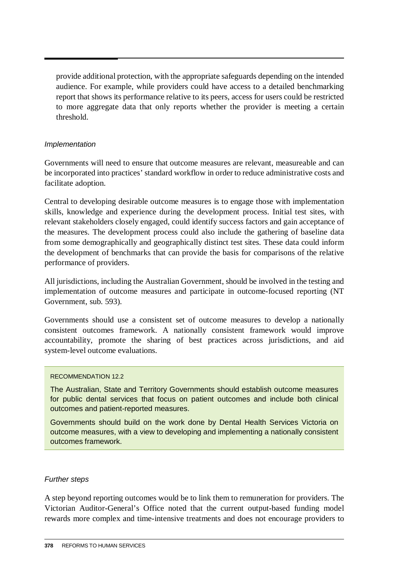provide additional protection, with the appropriate safeguards depending on the intended audience. For example, while providers could have access to a detailed benchmarking report that shows its performance relative to its peers, access for users could be restricted to more aggregate data that only reports whether the provider is meeting a certain threshold.

#### *Implementation*

Governments will need to ensure that outcome measures are relevant, measureable and can be incorporated into practices' standard workflow in order to reduce administrative costs and facilitate adoption.

Central to developing desirable outcome measures is to engage those with implementation skills, knowledge and experience during the development process. Initial test sites, with relevant stakeholders closely engaged, could identify success factors and gain acceptance of the measures. The development process could also include the gathering of baseline data from some demographically and geographically distinct test sites. These data could inform the development of benchmarks that can provide the basis for comparisons of the relative performance of providers.

All jurisdictions, including the Australian Government, should be involved in the testing and implementation of outcome measures and participate in outcome-focused reporting (NT Government, sub. 593).

Governments should use a consistent set of outcome measures to develop a nationally consistent outcomes framework. A nationally consistent framework would improve accountability, promote the sharing of best practices across jurisdictions, and aid system-level outcome evaluations.

#### RECOMMENDATION 12.2

The Australian, State and Territory Governments should establish outcome measures for public dental services that focus on patient outcomes and include both clinical outcomes and patient-reported measures.

Governments should build on the work done by Dental Health Services Victoria on outcome measures, with a view to developing and implementing a nationally consistent outcomes framework.

#### *Further steps*

A step beyond reporting outcomes would be to link them to remuneration for providers. The Victorian Auditor-General's Office noted that the current output-based funding model rewards more complex and time-intensive treatments and does not encourage providers to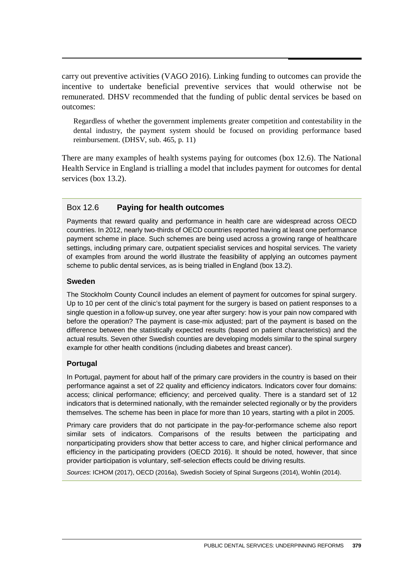carry out preventive activities (VAGO 2016). Linking funding to outcomes can provide the incentive to undertake beneficial preventive services that would otherwise not be remunerated. DHSV recommended that the funding of public dental services be based on outcomes:

Regardless of whether the government implements greater competition and contestability in the dental industry, the payment system should be focused on providing performance based reimbursement. (DHSV, sub. 465, p. 11)

There are many examples of health systems paying for outcomes (box 12.6). The National Health Service in England is trialling a model that includes payment for outcomes for dental services (box 13.2).

#### Box 12.6 **Paying for health outcomes**

Payments that reward quality and performance in health care are widespread across OECD countries. In 2012, nearly two-thirds of OECD countries reported having at least one performance payment scheme in place. Such schemes are being used across a growing range of healthcare settings, including primary care, outpatient specialist services and hospital services. The variety of examples from around the world illustrate the feasibility of applying an outcomes payment scheme to public dental services, as is being trialled in England (box 13.2).

#### **Sweden**

The Stockholm County Council includes an element of payment for outcomes for spinal surgery. Up to 10 per cent of the clinic's total payment for the surgery is based on patient responses to a single question in a follow-up survey, one year after surgery: how is your pain now compared with before the operation? The payment is case-mix adjusted; part of the payment is based on the difference between the statistically expected results (based on patient characteristics) and the actual results. Seven other Swedish counties are developing models similar to the spinal surgery example for other health conditions (including diabetes and breast cancer).

#### **Portugal**

In Portugal, payment for about half of the primary care providers in the country is based on their performance against a set of 22 quality and efficiency indicators. Indicators cover four domains: access; clinical performance; efficiency; and perceived quality. There is a standard set of 12 indicators that is determined nationally, with the remainder selected regionally or by the providers themselves. The scheme has been in place for more than 10 years, starting with a pilot in 2005.

Primary care providers that do not participate in the pay-for-performance scheme also report similar sets of indicators. Comparisons of the results between the participating and nonparticipating providers show that better access to care, and higher clinical performance and efficiency in the participating providers (OECD 2016). It should be noted, however, that since provider participation is voluntary, self-selection effects could be driving results.

*Sources*: ICHOM (2017), OECD (2016a), Swedish Society of Spinal Surgeons (2014), Wohlin (2014).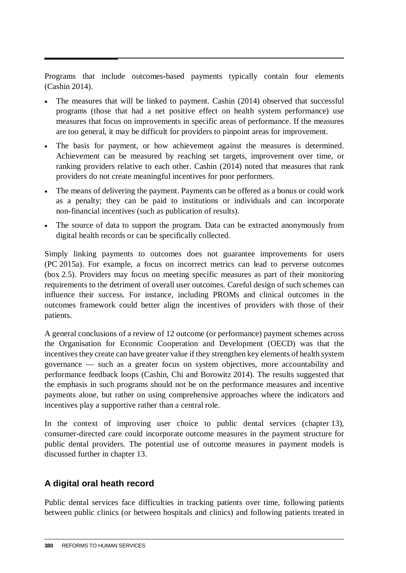Programs that include outcomes-based payments typically contain four elements (Cashin 2014).

- The measures that will be linked to payment. Cashin (2014) observed that successful programs (those that had a net positive effect on health system performance) use measures that focus on improvements in specific areas of performance. If the measures are too general, it may be difficult for providers to pinpoint areas for improvement.
- The basis for payment, or how achievement against the measures is determined. Achievement can be measured by reaching set targets, improvement over time, or ranking providers relative to each other. Cashin (2014) noted that measures that rank providers do not create meaningful incentives for poor performers.
- The means of delivering the payment. Payments can be offered as a bonus or could work as a penalty; they can be paid to institutions or individuals and can incorporate non-financial incentives (such as publication of results).
- The source of data to support the program. Data can be extracted anonymously from digital health records or can be specifically collected.

Simply linking payments to outcomes does not guarantee improvements for users (PC 2015a). For example, a focus on incorrect metrics can lead to perverse outcomes (box 2.5). Providers may focus on meeting specific measures as part of their monitoring requirements to the detriment of overall user outcomes. Careful design of such schemes can influence their success. For instance, including PROMs and clinical outcomes in the outcomes framework could better align the incentives of providers with those of their patients.

A general conclusions of a review of 12 outcome (or performance) payment schemes across the Organisation for Economic Cooperation and Development (OECD) was that the incentives they create can have greater value if they strengthen key elements of health system governance — such as a greater focus on system objectives, more accountability and performance feedback loops (Cashin, Chi and Borowitz 2014). The results suggested that the emphasis in such programs should not be on the performance measures and incentive payments alone, but rather on using comprehensive approaches where the indicators and incentives play a supportive rather than a central role.

In the context of improving user choice to public dental services (chapter 13), consumer-directed care could incorporate outcome measures in the payment structure for public dental providers. The potential use of outcome measures in payment models is discussed further in chapter 13.

# **A digital oral heath record**

Public dental services face difficulties in tracking patients over time, following patients between public clinics (or between hospitals and clinics) and following patients treated in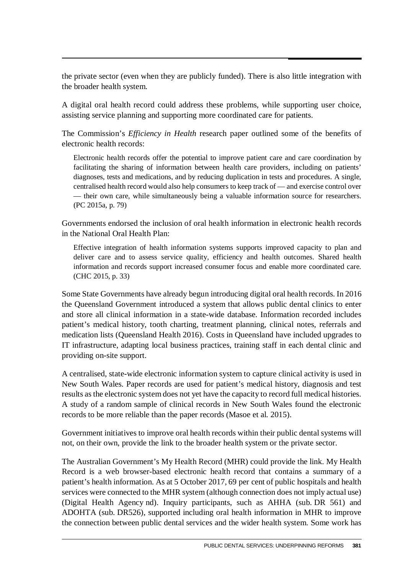the private sector (even when they are publicly funded). There is also little integration with the broader health system.

A digital oral health record could address these problems, while supporting user choice, assisting service planning and supporting more coordinated care for patients.

The Commission's *Efficiency in Health* research paper outlined some of the benefits of electronic health records:

Electronic health records offer the potential to improve patient care and care coordination by facilitating the sharing of information between health care providers, including on patients' diagnoses, tests and medications, and by reducing duplication in tests and procedures. A single, centralised health record would also help consumers to keep track of — and exercise control over — their own care, while simultaneously being a valuable information source for researchers. (PC 2015a, p. 79)

Governments endorsed the inclusion of oral health information in electronic health records in the National Oral Health Plan:

Effective integration of health information systems supports improved capacity to plan and deliver care and to assess service quality, efficiency and health outcomes. Shared health information and records support increased consumer focus and enable more coordinated care. (CHC 2015, p. 33)

Some State Governments have already begun introducing digital oral health records. In 2016 the Queensland Government introduced a system that allows public dental clinics to enter and store all clinical information in a state-wide database. Information recorded includes patient's medical history, tooth charting, treatment planning, clinical notes, referrals and medication lists (Queensland Health 2016). Costs in Queensland have included upgrades to IT infrastructure, adapting local business practices, training staff in each dental clinic and providing on-site support.

A centralised, state-wide electronic information system to capture clinical activity is used in New South Wales. Paper records are used for patient's medical history, diagnosis and test results as the electronic system does not yet have the capacity to record full medical histories. A study of a random sample of clinical records in New South Wales found the electronic records to be more reliable than the paper records (Masoe et al. 2015).

Government initiatives to improve oral health records within their public dental systems will not, on their own, provide the link to the broader health system or the private sector.

The Australian Government's My Health Record (MHR) could provide the link. My Health Record is a web browser-based electronic health record that contains a summary of a patient's health information. As at 5 October 2017, 69 per cent of public hospitals and health services were connected to the MHR system (although connection does not imply actual use) (Digital Health Agency nd). Inquiry participants, such as AHHA (sub. DR 561) and ADOHTA (sub. DR526), supported including oral health information in MHR to improve the connection between public dental services and the wider health system. Some work has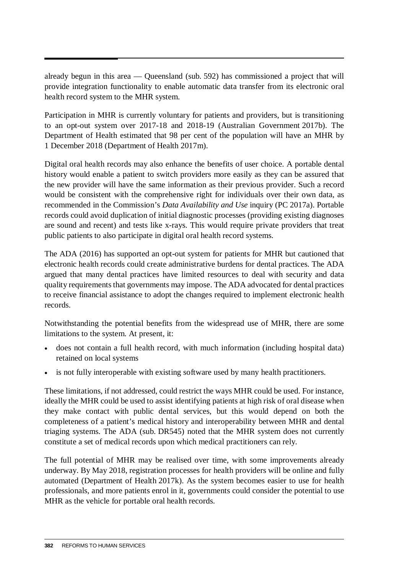already begun in this area — Queensland (sub. 592) has commissioned a project that will provide integration functionality to enable automatic data transfer from its electronic oral health record system to the MHR system.

Participation in MHR is currently voluntary for patients and providers, but is transitioning to an opt-out system over 2017-18 and 2018-19 (Australian Government 2017b). The Department of Health estimated that 98 per cent of the population will have an MHR by 1 December 2018 (Department of Health 2017m).

Digital oral health records may also enhance the benefits of user choice. A portable dental history would enable a patient to switch providers more easily as they can be assured that the new provider will have the same information as their previous provider. Such a record would be consistent with the comprehensive right for individuals over their own data, as recommended in the Commission's *Data Availability and Use* inquiry (PC 2017a). Portable records could avoid duplication of initial diagnostic processes (providing existing diagnoses are sound and recent) and tests like x-rays. This would require private providers that treat public patients to also participate in digital oral health record systems.

The ADA (2016) has supported an opt-out system for patients for MHR but cautioned that electronic health records could create administrative burdens for dental practices. The ADA argued that many dental practices have limited resources to deal with security and data quality requirements that governments may impose. The ADA advocated for dental practices to receive financial assistance to adopt the changes required to implement electronic health records.

Notwithstanding the potential benefits from the widespread use of MHR, there are some limitations to the system. At present, it:

- does not contain a full health record, with much information (including hospital data) retained on local systems
- is not fully interoperable with existing software used by many health practitioners.

These limitations, if not addressed, could restrict the ways MHR could be used. For instance, ideally the MHR could be used to assist identifying patients at high risk of oral disease when they make contact with public dental services, but this would depend on both the completeness of a patient's medical history and interoperability between MHR and dental triaging systems. The ADA (sub. DR545) noted that the MHR system does not currently constitute a set of medical records upon which medical practitioners can rely.

The full potential of MHR may be realised over time, with some improvements already underway. By May 2018, registration processes for health providers will be online and fully automated (Department of Health 2017k). As the system becomes easier to use for health professionals, and more patients enrol in it, governments could consider the potential to use MHR as the vehicle for portable oral health records.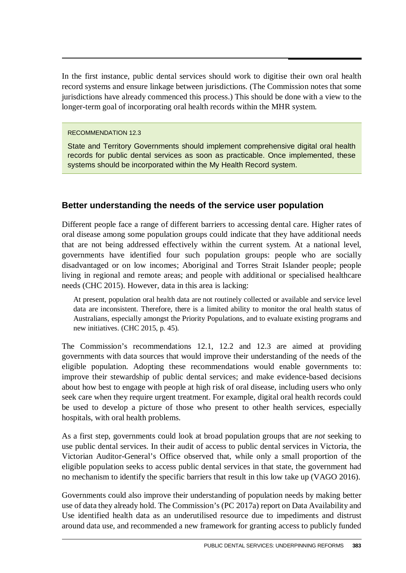In the first instance, public dental services should work to digitise their own oral health record systems and ensure linkage between jurisdictions. (The Commission notes that some jurisdictions have already commenced this process.) This should be done with a view to the longer-term goal of incorporating oral health records within the MHR system.

RECOMMENDATION 12.3

State and Territory Governments should implement comprehensive digital oral health records for public dental services as soon as practicable. Once implemented, these systems should be incorporated within the My Health Record system.

# **Better understanding the needs of the service user population**

Different people face a range of different barriers to accessing dental care. Higher rates of oral disease among some population groups could indicate that they have additional needs that are not being addressed effectively within the current system. At a national level, governments have identified four such population groups: people who are socially disadvantaged or on low incomes; Aboriginal and Torres Strait Islander people; people living in regional and remote areas; and people with additional or specialised healthcare needs (CHC 2015). However, data in this area is lacking:

At present, population oral health data are not routinely collected or available and service level data are inconsistent. Therefore, there is a limited ability to monitor the oral health status of Australians, especially amongst the Priority Populations, and to evaluate existing programs and new initiatives. (CHC 2015, p. 45).

The Commission's recommendations 12.1, 12.2 and 12.3 are aimed at providing governments with data sources that would improve their understanding of the needs of the eligible population. Adopting these recommendations would enable governments to: improve their stewardship of public dental services; and make evidence-based decisions about how best to engage with people at high risk of oral disease, including users who only seek care when they require urgent treatment. For example, digital oral health records could be used to develop a picture of those who present to other health services, especially hospitals, with oral health problems.

As a first step, governments could look at broad population groups that are *not* seeking to use public dental services. In their audit of access to public dental services in Victoria, the Victorian Auditor-General's Office observed that, while only a small proportion of the eligible population seeks to access public dental services in that state, the government had no mechanism to identify the specific barriers that result in this low take up (VAGO 2016).

Governments could also improve their understanding of population needs by making better use of data they already hold. The Commission's (PC 2017a) report on Data Availability and Use identified health data as an underutilised resource due to impediments and distrust around data use, and recommended a new framework for granting access to publicly funded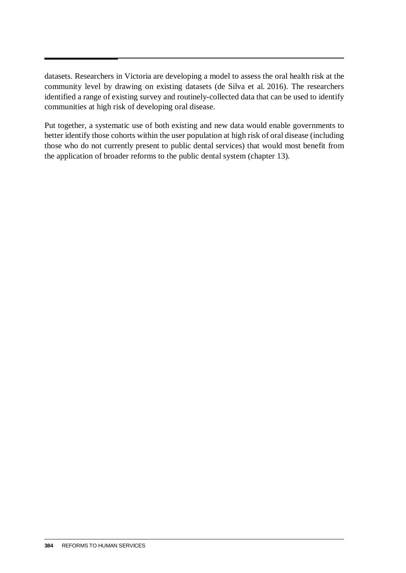datasets. Researchers in Victoria are developing a model to assess the oral health risk at the community level by drawing on existing datasets (de Silva et al. 2016). The researchers identified a range of existing survey and routinely-collected data that can be used to identify communities at high risk of developing oral disease.

Put together, a systematic use of both existing and new data would enable governments to better identify those cohorts within the user population at high risk of oral disease (including those who do not currently present to public dental services) that would most benefit from the application of broader reforms to the public dental system (chapter 13).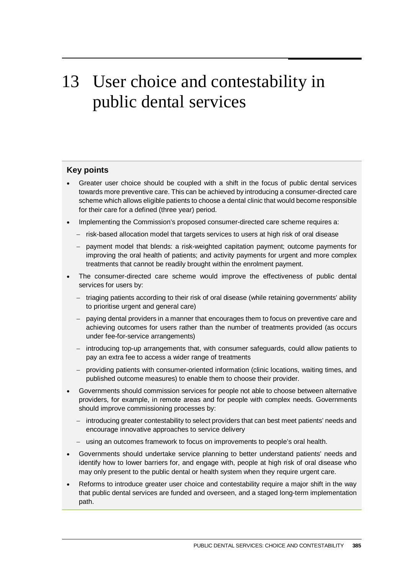# 13 User choice and contestability in public dental services

#### **Key points**

- Greater user choice should be coupled with a shift in the focus of public dental services towards more preventive care. This can be achieved by introducing a consumer-directed care scheme which allows eligible patients to choose a dental clinic that would become responsible for their care for a defined (three year) period.
- Implementing the Commission's proposed consumer-directed care scheme requires a:
	- − risk-based allocation model that targets services to users at high risk of oral disease
	- − payment model that blends: a risk-weighted capitation payment; outcome payments for improving the oral health of patients; and activity payments for urgent and more complex treatments that cannot be readily brought within the enrolment payment.
- The consumer-directed care scheme would improve the effectiveness of public dental services for users by:
	- − triaging patients according to their risk of oral disease (while retaining governments' ability to prioritise urgent and general care)
	- − paying dental providers in a manner that encourages them to focus on preventive care and achieving outcomes for users rather than the number of treatments provided (as occurs under fee-for-service arrangements)
	- − introducing top-up arrangements that, with consumer safeguards, could allow patients to pay an extra fee to access a wider range of treatments
	- − providing patients with consumer-oriented information (clinic locations, waiting times, and published outcome measures) to enable them to choose their provider.
- Governments should commission services for people not able to choose between alternative providers, for example, in remote areas and for people with complex needs. Governments should improve commissioning processes by:
	- − introducing greater contestability to select providers that can best meet patients' needs and encourage innovative approaches to service delivery
	- − using an outcomes framework to focus on improvements to people's oral health.
- Governments should undertake service planning to better understand patients' needs and identify how to lower barriers for, and engage with, people at high risk of oral disease who may only present to the public dental or health system when they require urgent care.
- Reforms to introduce greater user choice and contestability require a major shift in the way that public dental services are funded and overseen, and a staged long-term implementation path.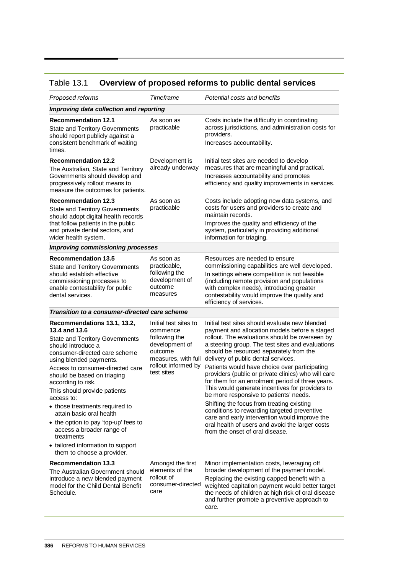# Table 13.1 **Overview of proposed reforms to public dental services**

| Proposed reforms                                                                                                                                                                                                                                                                                                                                                                                                                                                                                                                    | Timeframe                                                                                                                                   | Potential costs and benefits                                                                                                                                                                                                                                                                                                                                                                                                                                                                                                                                                                                                                                                                                                                                                        |  |  |  |
|-------------------------------------------------------------------------------------------------------------------------------------------------------------------------------------------------------------------------------------------------------------------------------------------------------------------------------------------------------------------------------------------------------------------------------------------------------------------------------------------------------------------------------------|---------------------------------------------------------------------------------------------------------------------------------------------|-------------------------------------------------------------------------------------------------------------------------------------------------------------------------------------------------------------------------------------------------------------------------------------------------------------------------------------------------------------------------------------------------------------------------------------------------------------------------------------------------------------------------------------------------------------------------------------------------------------------------------------------------------------------------------------------------------------------------------------------------------------------------------------|--|--|--|
| Improving data collection and reporting                                                                                                                                                                                                                                                                                                                                                                                                                                                                                             |                                                                                                                                             |                                                                                                                                                                                                                                                                                                                                                                                                                                                                                                                                                                                                                                                                                                                                                                                     |  |  |  |
| <b>Recommendation 12.1</b><br><b>State and Territory Governments</b><br>should report publicly against a<br>consistent benchmark of waiting<br>times.                                                                                                                                                                                                                                                                                                                                                                               | As soon as<br>practicable                                                                                                                   | Costs include the difficulty in coordinating<br>across jurisdictions, and administration costs for<br>providers.<br>Increases accountability.                                                                                                                                                                                                                                                                                                                                                                                                                                                                                                                                                                                                                                       |  |  |  |
| <b>Recommendation 12.2</b><br>The Australian, State and Territory<br>Governments should develop and<br>progressively rollout means to<br>measure the outcomes for patients.                                                                                                                                                                                                                                                                                                                                                         | Development is<br>already underway                                                                                                          | Initial test sites are needed to develop<br>measures that are meaningful and practical.<br>Increases accountability and promotes<br>efficiency and quality improvements in services.                                                                                                                                                                                                                                                                                                                                                                                                                                                                                                                                                                                                |  |  |  |
| <b>Recommendation 12.3</b><br><b>State and Territory Governments</b><br>should adopt digital health records<br>that follow patients in the public<br>and private dental sectors, and<br>wider health system.                                                                                                                                                                                                                                                                                                                        | As soon as<br>practicable                                                                                                                   | Costs include adopting new data systems, and<br>costs for users and providers to create and<br>maintain records.<br>Improves the quality and efficiency of the<br>system, particularly in providing additional<br>information for triaging.                                                                                                                                                                                                                                                                                                                                                                                                                                                                                                                                         |  |  |  |
| <b>Improving commissioning processes</b>                                                                                                                                                                                                                                                                                                                                                                                                                                                                                            |                                                                                                                                             |                                                                                                                                                                                                                                                                                                                                                                                                                                                                                                                                                                                                                                                                                                                                                                                     |  |  |  |
| <b>Recommendation 13.5</b><br><b>State and Territory Governments</b><br>should establish effective<br>commissioning processes to<br>enable contestability for public<br>dental services.                                                                                                                                                                                                                                                                                                                                            | As soon as<br>practicable,<br>following the<br>development of<br>outcome<br>measures                                                        | Resources are needed to ensure<br>commissioning capabilities are well developed.<br>In settings where competition is not feasible<br>(including remote provision and populations<br>with complex needs), introducing greater<br>contestability would improve the quality and<br>efficiency of services.                                                                                                                                                                                                                                                                                                                                                                                                                                                                             |  |  |  |
| Transition to a consumer-directed care scheme                                                                                                                                                                                                                                                                                                                                                                                                                                                                                       |                                                                                                                                             |                                                                                                                                                                                                                                                                                                                                                                                                                                                                                                                                                                                                                                                                                                                                                                                     |  |  |  |
| Recommendations 13.1, 13.2,<br>13.4 and 13.6<br><b>State and Territory Governments</b><br>should introduce a<br>consumer-directed care scheme<br>using blended payments.<br>Access to consumer-directed care<br>should be based on triaging<br>according to risk.<br>This should provide patients<br>access to:<br>• those treatments required to<br>attain basic oral health<br>• the option to pay 'top-up' fees to<br>access a broader range of<br>treatments<br>• tailored information to support<br>them to choose a provider. | Initial test sites to<br>commence<br>following the<br>development of<br>outcome<br>measures, with full<br>rollout informed by<br>test sites | Initial test sites should evaluate new blended<br>payment and allocation models before a staged<br>rollout. The evaluations should be overseen by<br>a steering group. The test sites and evaluations<br>should be resourced separately from the<br>delivery of public dental services.<br>Patients would have choice over participating<br>providers (public or private clinics) who will care<br>for them for an enrolment period of three years.<br>This would generate incentives for providers to<br>be more responsive to patients' needs.<br>Shifting the focus from treating existing<br>conditions to rewarding targeted preventive<br>care and early intervention would improve the<br>oral health of users and avoid the larger costs<br>from the onset of oral disease. |  |  |  |
| <b>Recommendation 13.3</b><br>The Australian Government should<br>introduce a new blended payment<br>model for the Child Dental Benefit<br>Schedule.                                                                                                                                                                                                                                                                                                                                                                                | Amongst the first<br>elements of the<br>rollout of<br>consumer-directed<br>care                                                             | Minor implementation costs, leveraging off<br>broader development of the payment model.<br>Replacing the existing capped benefit with a<br>weighted capitation payment would better target<br>the needs of children at high risk of oral disease<br>and further promote a preventive approach to<br>care.                                                                                                                                                                                                                                                                                                                                                                                                                                                                           |  |  |  |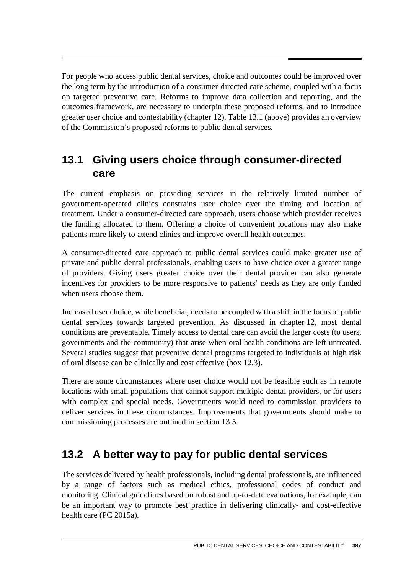For people who access public dental services, choice and outcomes could be improved over the long term by the introduction of a consumer-directed care scheme, coupled with a focus on targeted preventive care. Reforms to improve data collection and reporting, and the outcomes framework, are necessary to underpin these proposed reforms, and to introduce greater user choice and contestability (chapter 12). Table 13.1 (above) provides an overview of the Commission's proposed reforms to public dental services.

# **13.1 Giving users choice through consumer-directed care**

The current emphasis on providing services in the relatively limited number of government-operated clinics constrains user choice over the timing and location of treatment. Under a consumer-directed care approach, users choose which provider receives the funding allocated to them. Offering a choice of convenient locations may also make patients more likely to attend clinics and improve overall health outcomes.

A consumer-directed care approach to public dental services could make greater use of private and public dental professionals, enabling users to have choice over a greater range of providers. Giving users greater choice over their dental provider can also generate incentives for providers to be more responsive to patients' needs as they are only funded when users choose them.

Increased user choice, while beneficial, needs to be coupled with a shift in the focus of public dental services towards targeted prevention. As discussed in chapter 12, most dental conditions are preventable. Timely access to dental care can avoid the larger costs (to users, governments and the community) that arise when oral health conditions are left untreated. Several studies suggest that preventive dental programs targeted to individuals at high risk of oral disease can be clinically and cost effective (box 12.3).

There are some circumstances where user choice would not be feasible such as in remote locations with small populations that cannot support multiple dental providers, or for users with complex and special needs. Governments would need to commission providers to deliver services in these circumstances. Improvements that governments should make to commissioning processes are outlined in section 13.5.

# **13.2 A better way to pay for public dental services**

The services delivered by health professionals, including dental professionals, are influenced by a range of factors such as medical ethics, professional codes of conduct and monitoring. Clinical guidelines based on robust and up-to-date evaluations, for example, can be an important way to promote best practice in delivering clinically- and cost-effective health care (PC 2015a).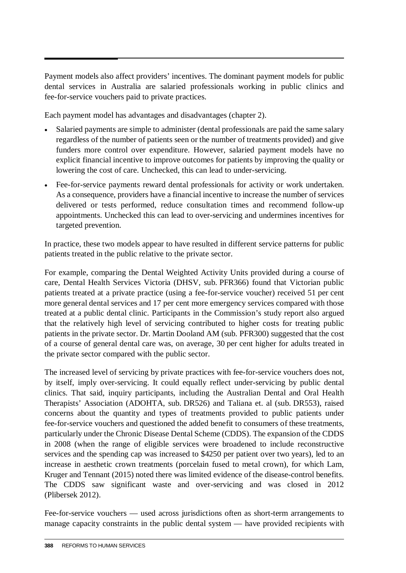Payment models also affect providers' incentives. The dominant payment models for public dental services in Australia are salaried professionals working in public clinics and fee-for-service vouchers paid to private practices.

Each payment model has advantages and disadvantages (chapter 2).

- Salaried payments are simple to administer (dental professionals are paid the same salary regardless of the number of patients seen or the number of treatments provided) and give funders more control over expenditure. However, salaried payment models have no explicit financial incentive to improve outcomes for patients by improving the quality or lowering the cost of care. Unchecked, this can lead to under-servicing.
- Fee-for-service payments reward dental professionals for activity or work undertaken. As a consequence, providers have a financial incentive to increase the number of services delivered or tests performed, reduce consultation times and recommend follow-up appointments. Unchecked this can lead to over-servicing and undermines incentives for targeted prevention.

In practice, these two models appear to have resulted in different service patterns for public patients treated in the public relative to the private sector.

For example, comparing the Dental Weighted Activity Units provided during a course of care, Dental Health Services Victoria (DHSV, sub. PFR366) found that Victorian public patients treated at a private practice (using a fee-for-service voucher) received 51 per cent more general dental services and 17 per cent more emergency services compared with those treated at a public dental clinic. Participants in the Commission's study report also argued that the relatively high level of servicing contributed to higher costs for treating public patients in the private sector. Dr. Martin Dooland AM (sub. PFR300) suggested that the cost of a course of general dental care was, on average, 30 per cent higher for adults treated in the private sector compared with the public sector.

The increased level of servicing by private practices with fee-for-service vouchers does not, by itself, imply over-servicing. It could equally reflect under-servicing by public dental clinics. That said, inquiry participants, including the Australian Dental and Oral Health Therapists' Association (ADOHTA, sub. DR526) and Taliana et. al (sub. DR553), raised concerns about the quantity and types of treatments provided to public patients under fee-for-service vouchers and questioned the added benefit to consumers of these treatments, particularly under the Chronic Disease Dental Scheme (CDDS). The expansion of the CDDS in 2008 (when the range of eligible services were broadened to include reconstructive services and the spending cap was increased to \$4250 per patient over two years), led to an increase in aesthetic crown treatments (porcelain fused to metal crown), for which Lam, Kruger and Tennant (2015) noted there was limited evidence of the disease-control benefits. The CDDS saw significant waste and over-servicing and was closed in 2012 (Plibersek 2012).

Fee-for-service vouchers — used across jurisdictions often as short-term arrangements to manage capacity constraints in the public dental system — have provided recipients with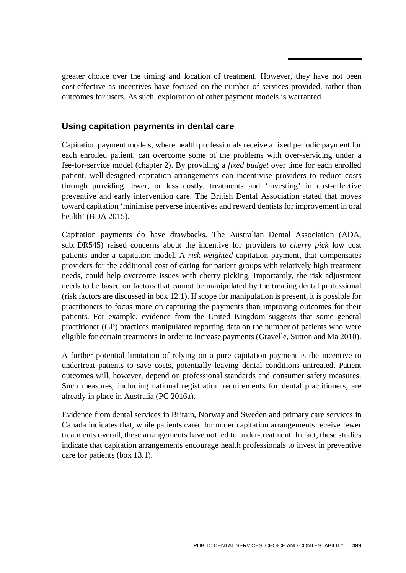greater choice over the timing and location of treatment. However, they have not been cost effective as incentives have focused on the number of services provided, rather than outcomes for users. As such, exploration of other payment models is warranted.

# **Using capitation payments in dental care**

Capitation payment models, where health professionals receive a fixed periodic payment for each enrolled patient, can overcome some of the problems with over-servicing under a fee-for-service model (chapter 2). By providing a *fixed budget* over time for each enrolled patient, well-designed capitation arrangements can incentivise providers to reduce costs through providing fewer, or less costly, treatments and 'investing' in cost-effective preventive and early intervention care. The British Dental Association stated that moves toward capitation 'minimise perverse incentives and reward dentists for improvement in oral health' (BDA 2015).

Capitation payments do have drawbacks. The Australian Dental Association (ADA, sub. DR545) raised concerns about the incentive for providers to *cherry pick* low cost patients under a capitation model. A *risk-weighted* capitation payment, that compensates providers for the additional cost of caring for patient groups with relatively high treatment needs, could help overcome issues with cherry picking. Importantly, the risk adjustment needs to be based on factors that cannot be manipulated by the treating dental professional (risk factors are discussed in box 12.1). If scope for manipulation is present, it is possible for practitioners to focus more on capturing the payments than improving outcomes for their patients. For example, evidence from the United Kingdom suggests that some general practitioner (GP) practices manipulated reporting data on the number of patients who were eligible for certain treatments in order to increase payments (Gravelle, Sutton and Ma 2010).

A further potential limitation of relying on a pure capitation payment is the incentive to undertreat patients to save costs, potentially leaving dental conditions untreated. Patient outcomes will, however, depend on professional standards and consumer safety measures. Such measures, including national registration requirements for dental practitioners, are already in place in Australia (PC 2016a).

Evidence from dental services in Britain, Norway and Sweden and primary care services in Canada indicates that, while patients cared for under capitation arrangements receive fewer treatments overall, these arrangements have not led to under-treatment. In fact, these studies indicate that capitation arrangements encourage health professionals to invest in preventive care for patients (box 13.1).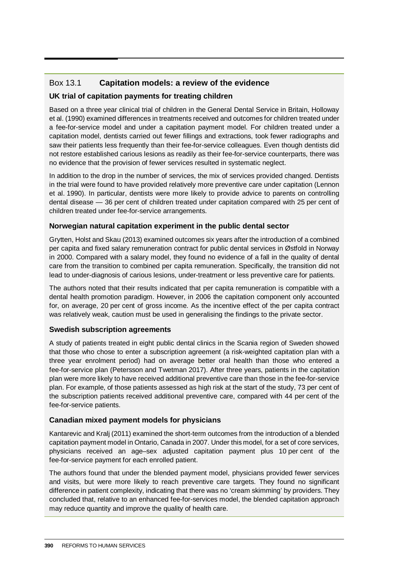### Box 13.1 **Capitation models: a review of the evidence**

#### **UK trial of capitation payments for treating children**

Based on a three year clinical trial of children in the General Dental Service in Britain, Holloway et al. (1990) examined differences in treatments received and outcomes for children treated under a fee-for-service model and under a capitation payment model. For children treated under a capitation model, dentists carried out fewer fillings and extractions, took fewer radiographs and saw their patients less frequently than their fee-for-service colleagues. Even though dentists did not restore established carious lesions as readily as their fee-for-service counterparts, there was no evidence that the provision of fewer services resulted in systematic neglect.

In addition to the drop in the number of services, the mix of services provided changed. Dentists in the trial were found to have provided relatively more preventive care under capitation (Lennon et al. 1990). In particular, dentists were more likely to provide advice to parents on controlling dental disease — 36 per cent of children treated under capitation compared with 25 per cent of children treated under fee-for-service arrangements.

#### **Norwegian natural capitation experiment in the public dental sector**

Grytten, Holst and Skau (2013) examined outcomes six years after the introduction of a combined per capita and fixed salary remuneration contract for public dental services in Østfold in Norway in 2000. Compared with a salary model, they found no evidence of a fall in the quality of dental care from the transition to combined per capita remuneration. Specifically, the transition did not lead to under-diagnosis of carious lesions, under-treatment or less preventive care for patients.

The authors noted that their results indicated that per capita remuneration is compatible with a dental health promotion paradigm. However, in 2006 the capitation component only accounted for, on average, 20 per cent of gross income. As the incentive effect of the per capita contract was relatively weak, caution must be used in generalising the findings to the private sector.

#### **Swedish subscription agreements**

A study of patients treated in eight public dental clinics in the Scania region of Sweden showed that those who chose to enter a subscription agreement (a risk-weighted capitation plan with a three year enrolment period) had on average better oral health than those who entered a fee-for-service plan (Petersson and Twetman 2017). After three years, patients in the capitation plan were more likely to have received additional preventive care than those in the fee-for-service plan. For example, of those patients assessed as high risk at the start of the study, 73 per cent of the subscription patients received additional preventive care, compared with 44 per cent of the fee-for-service patients.

#### **Canadian mixed payment models for physicians**

Kantarevic and Kralj (2011) examined the short-term outcomes from the introduction of a blended capitation payment model in Ontario, Canada in 2007. Under this model, for a set of core services, physicians received an age–sex adjusted capitation payment plus 10 per cent of the fee-for-service payment for each enrolled patient.

The authors found that under the blended payment model, physicians provided fewer services and visits, but were more likely to reach preventive care targets. They found no significant difference in patient complexity, indicating that there was no 'cream skimming' by providers. They concluded that, relative to an enhanced fee-for-services model, the blended capitation approach may reduce quantity and improve the quality of health care.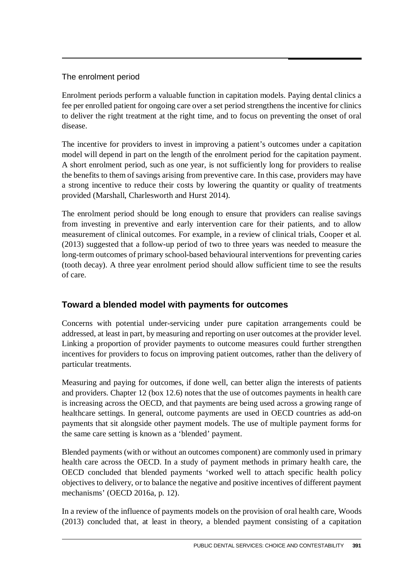### The enrolment period

Enrolment periods perform a valuable function in capitation models. Paying dental clinics a fee per enrolled patient for ongoing care over a set period strengthens the incentive for clinics to deliver the right treatment at the right time, and to focus on preventing the onset of oral disease.

The incentive for providers to invest in improving a patient's outcomes under a capitation model will depend in part on the length of the enrolment period for the capitation payment. A short enrolment period, such as one year, is not sufficiently long for providers to realise the benefits to them of savings arising from preventive care. In this case, providers may have a strong incentive to reduce their costs by lowering the quantity or quality of treatments provided (Marshall, Charlesworth and Hurst 2014).

The enrolment period should be long enough to ensure that providers can realise savings from investing in preventive and early intervention care for their patients, and to allow measurement of clinical outcomes. For example, in a review of clinical trials, Cooper et al. (2013) suggested that a follow-up period of two to three years was needed to measure the long-term outcomes of primary school-based behavioural interventions for preventing caries (tooth decay). A three year enrolment period should allow sufficient time to see the results of care.

# **Toward a blended model with payments for outcomes**

Concerns with potential under-servicing under pure capitation arrangements could be addressed, at least in part, by measuring and reporting on user outcomes at the provider level. Linking a proportion of provider payments to outcome measures could further strengthen incentives for providers to focus on improving patient outcomes, rather than the delivery of particular treatments.

Measuring and paying for outcomes, if done well, can better align the interests of patients and providers. Chapter 12 (box 12.6) notes that the use of outcomes payments in health care is increasing across the OECD, and that payments are being used across a growing range of healthcare settings. In general, outcome payments are used in OECD countries as add-on payments that sit alongside other payment models. The use of multiple payment forms for the same care setting is known as a 'blended' payment.

Blended payments (with or without an outcomes component) are commonly used in primary health care across the OECD. In a study of payment methods in primary health care, the OECD concluded that blended payments 'worked well to attach specific health policy objectives to delivery, or to balance the negative and positive incentives of different payment mechanisms' (OECD 2016a, p. 12).

In a review of the influence of payments models on the provision of oral health care, Woods (2013) concluded that, at least in theory, a blended payment consisting of a capitation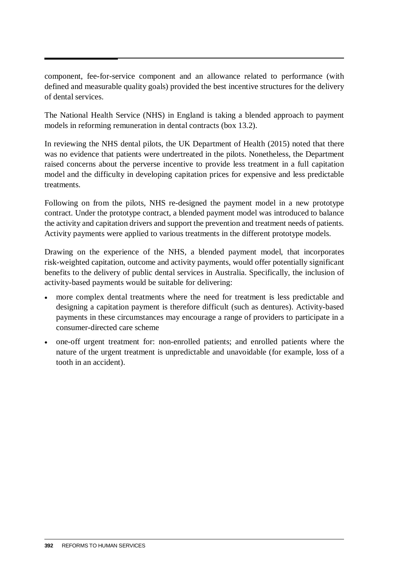component, fee-for-service component and an allowance related to performance (with defined and measurable quality goals) provided the best incentive structures for the delivery of dental services.

The National Health Service (NHS) in England is taking a blended approach to payment models in reforming remuneration in dental contracts (box 13.2).

In reviewing the NHS dental pilots, the UK Department of Health (2015) noted that there was no evidence that patients were undertreated in the pilots. Nonetheless, the Department raised concerns about the perverse incentive to provide less treatment in a full capitation model and the difficulty in developing capitation prices for expensive and less predictable treatments.

Following on from the pilots, NHS re-designed the payment model in a new prototype contract. Under the prototype contract, a blended payment model was introduced to balance the activity and capitation drivers and support the prevention and treatment needs of patients. Activity payments were applied to various treatments in the different prototype models.

Drawing on the experience of the NHS, a blended payment model, that incorporates risk-weighted capitation, outcome and activity payments, would offer potentially significant benefits to the delivery of public dental services in Australia. Specifically, the inclusion of activity-based payments would be suitable for delivering:

- more complex dental treatments where the need for treatment is less predictable and designing a capitation payment is therefore difficult (such as dentures). Activity-based payments in these circumstances may encourage a range of providers to participate in a consumer-directed care scheme
- one-off urgent treatment for: non-enrolled patients; and enrolled patients where the nature of the urgent treatment is unpredictable and unavoidable (for example, loss of a tooth in an accident).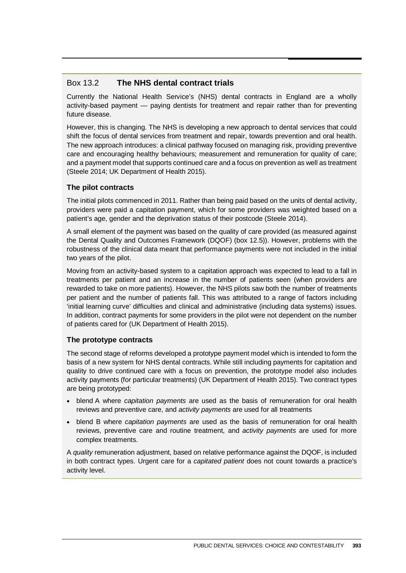#### Box 13.2 **The NHS dental contract trials**

Currently the National Health Service's (NHS) dental contracts in England are a wholly activity-based payment — paying dentists for treatment and repair rather than for preventing future disease.

However, this is changing. The NHS is developing a new approach to dental services that could shift the focus of dental services from treatment and repair, towards prevention and oral health. The new approach introduces: a clinical pathway focused on managing risk, providing preventive care and encouraging healthy behaviours; measurement and remuneration for quality of care; and a payment model that supports continued care and a focus on prevention as well as treatment (Steele 2014; UK Department of Health 2015).

#### **The pilot contracts**

The initial pilots commenced in 2011. Rather than being paid based on the units of dental activity, providers were paid a capitation payment, which for some providers was weighted based on a patient's age, gender and the deprivation status of their postcode (Steele 2014).

A small element of the payment was based on the quality of care provided (as measured against the Dental Quality and Outcomes Framework (DQOF) (box 12.5)). However, problems with the robustness of the clinical data meant that performance payments were not included in the initial two years of the pilot.

Moving from an activity-based system to a capitation approach was expected to lead to a fall in treatments per patient and an increase in the number of patients seen (when providers are rewarded to take on more patients). However, the NHS pilots saw both the number of treatments per patient and the number of patients fall. This was attributed to a range of factors including 'initial learning curve' difficulties and clinical and administrative (including data systems) issues. In addition, contract payments for some providers in the pilot were not dependent on the number of patients cared for (UK Department of Health 2015).

#### **The prototype contracts**

The second stage of reforms developed a prototype payment model which is intended to form the basis of a new system for NHS dental contracts. While still including payments for capitation and quality to drive continued care with a focus on prevention, the prototype model also includes activity payments (for particular treatments) (UK Department of Health 2015). Two contract types are being prototyped:

- blend A where *capitation payments* are used as the basis of remuneration for oral health reviews and preventive care, and *activity payments* are used for all treatments
- blend B where *capitation payments* are used as the basis of remuneration for oral health reviews, preventive care and routine treatment, and *activity payments* are used for more complex treatments.

A *quality* remuneration adjustment, based on relative performance against the DQOF, is included in both contract types. Urgent care for a *capitated patient* does not count towards a practice's activity level.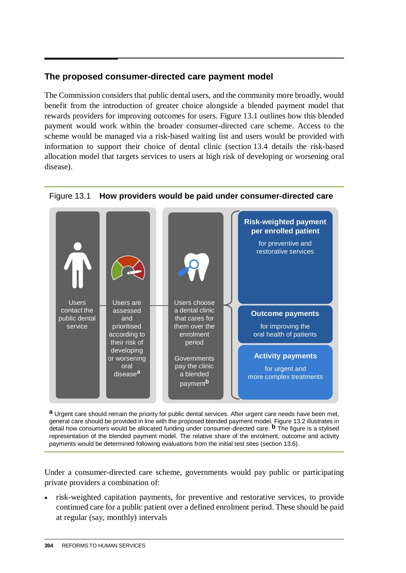### **The proposed consumer-directed care payment model**

The Commission considers that public dental users, and the community more broadly, would benefit from the introduction of greater choice alongside a blended payment model that rewards providers for improving outcomes for users. Figure 13.1 outlines how this blended payment would work within the broader consumer-directed care scheme. Access to the scheme would be managed via a risk-based waiting list and users would be provided with information to support their choice of dental clinic (section 13.4 details the risk-based allocation model that targets services to users at high risk of developing or worsening oral disease).



#### Figure 13.1 **How providers would be paid under consumer-directed care**

**a** Urgent care should remain the priority for public dental services. After urgent care needs have been met, general care should be provided in line with the proposed blended payment model. Figure 13.2 illustrates in detail how consumers would be allocated funding under consumer-directed care. **b** The figure is a stylised representation of the blended payment model. The relative share of the enrolment, outcome and activity payments would be determined following evaluations from the initial test sites (section 13.6).

Under a consumer-directed care scheme, governments would pay public or participating private providers a combination of:

• risk-weighted capitation payments, for preventive and restorative services, to provide continued care for a public patient over a defined enrolment period. These should be paid at regular (say, monthly) intervals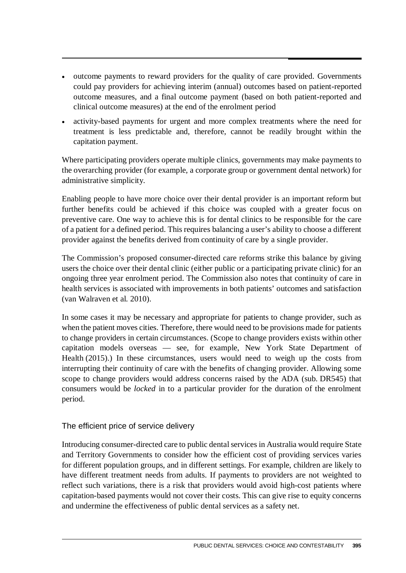- outcome payments to reward providers for the quality of care provided. Governments could pay providers for achieving interim (annual) outcomes based on patient-reported outcome measures, and a final outcome payment (based on both patient-reported and clinical outcome measures) at the end of the enrolment period
- activity-based payments for urgent and more complex treatments where the need for treatment is less predictable and, therefore, cannot be readily brought within the capitation payment.

Where participating providers operate multiple clinics, governments may make payments to the overarching provider (for example, a corporate group or government dental network) for administrative simplicity.

Enabling people to have more choice over their dental provider is an important reform but further benefits could be achieved if this choice was coupled with a greater focus on preventive care. One way to achieve this is for dental clinics to be responsible for the care of a patient for a defined period. This requires balancing a user's ability to choose a different provider against the benefits derived from continuity of care by a single provider.

The Commission's proposed consumer-directed care reforms strike this balance by giving users the choice over their dental clinic (either public or a participating private clinic) for an ongoing three year enrolment period. The Commission also notes that continuity of care in health services is associated with improvements in both patients' outcomes and satisfaction (van Walraven et al. 2010).

In some cases it may be necessary and appropriate for patients to change provider, such as when the patient moves cities. Therefore, there would need to be provisions made for patients to change providers in certain circumstances. (Scope to change providers exists within other capitation models overseas — see, for example, New York State Department of Health (2015).) In these circumstances, users would need to weigh up the costs from interrupting their continuity of care with the benefits of changing provider. Allowing some scope to change providers would address concerns raised by the ADA (sub. DR545) that consumers would be *locked* in to a particular provider for the duration of the enrolment period.

The efficient price of service delivery

Introducing consumer-directed care to public dental services in Australia would require State and Territory Governments to consider how the efficient cost of providing services varies for different population groups, and in different settings. For example, children are likely to have different treatment needs from adults. If payments to providers are not weighted to reflect such variations, there is a risk that providers would avoid high-cost patients where capitation-based payments would not cover their costs. This can give rise to equity concerns and undermine the effectiveness of public dental services as a safety net.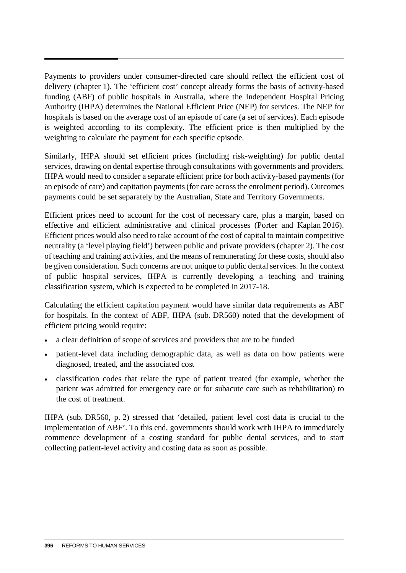Payments to providers under consumer-directed care should reflect the efficient cost of delivery (chapter 1). The 'efficient cost' concept already forms the basis of activity-based funding (ABF) of public hospitals in Australia, where the Independent Hospital Pricing Authority (IHPA) determines the National Efficient Price (NEP) for services. The NEP for hospitals is based on the average cost of an episode of care (a set of services). Each episode is weighted according to its complexity. The efficient price is then multiplied by the weighting to calculate the payment for each specific episode.

Similarly, IHPA should set efficient prices (including risk-weighting) for public dental services, drawing on dental expertise through consultations with governments and providers. IHPA would need to consider a separate efficient price for both activity-based payments (for an episode of care) and capitation payments (for care across the enrolment period). Outcomes payments could be set separately by the Australian, State and Territory Governments.

Efficient prices need to account for the cost of necessary care, plus a margin, based on effective and efficient administrative and clinical processes (Porter and Kaplan 2016). Efficient prices would also need to take account of the cost of capital to maintain competitive neutrality (a 'level playing field') between public and private providers (chapter 2). The cost of teaching and training activities, and the means of remunerating for these costs, should also be given consideration. Such concerns are not unique to public dental services. In the context of public hospital services, IHPA is currently developing a teaching and training classification system, which is expected to be completed in 2017-18.

Calculating the efficient capitation payment would have similar data requirements as ABF for hospitals. In the context of ABF, IHPA (sub. DR560) noted that the development of efficient pricing would require:

- a clear definition of scope of services and providers that are to be funded
- patient-level data including demographic data, as well as data on how patients were diagnosed, treated, and the associated cost
- classification codes that relate the type of patient treated (for example, whether the patient was admitted for emergency care or for subacute care such as rehabilitation) to the cost of treatment.

IHPA (sub. DR560, p. 2) stressed that 'detailed, patient level cost data is crucial to the implementation of ABF'. To this end, governments should work with IHPA to immediately commence development of a costing standard for public dental services, and to start collecting patient-level activity and costing data as soon as possible.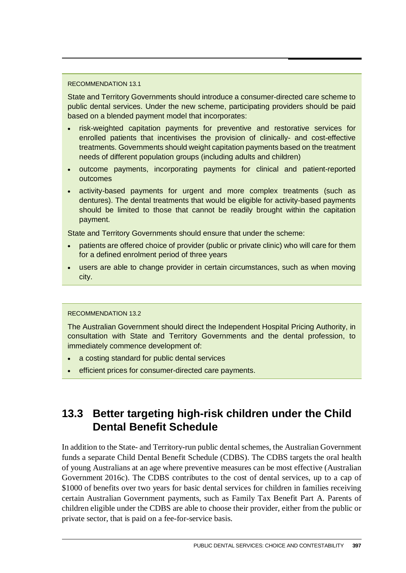#### RECOMMENDATION 13.1

State and Territory Governments should introduce a consumer-directed care scheme to public dental services. Under the new scheme, participating providers should be paid based on a blended payment model that incorporates:

- risk-weighted capitation payments for preventive and restorative services for enrolled patients that incentivises the provision of clinically- and cost-effective treatments. Governments should weight capitation payments based on the treatment needs of different population groups (including adults and children)
- outcome payments, incorporating payments for clinical and patient-reported outcomes
- activity-based payments for urgent and more complex treatments (such as dentures). The dental treatments that would be eligible for activity-based payments should be limited to those that cannot be readily brought within the capitation payment.

State and Territory Governments should ensure that under the scheme:

- patients are offered choice of provider (public or private clinic) who will care for them for a defined enrolment period of three years
- users are able to change provider in certain circumstances, such as when moving city.

#### RECOMMENDATION 13.2

The Australian Government should direct the Independent Hospital Pricing Authority, in consultation with State and Territory Governments and the dental profession, to immediately commence development of:

- a costing standard for public dental services
- efficient prices for consumer-directed care payments.

# **13.3 Better targeting high-risk children under the Child Dental Benefit Schedule**

In addition to the State- and Territory-run public dental schemes, the Australian Government funds a separate Child Dental Benefit Schedule (CDBS). The CDBS targets the oral health of young Australians at an age where preventive measures can be most effective (Australian Government 2016c). The CDBS contributes to the cost of dental services, up to a cap of \$1000 of benefits over two years for basic dental services for children in families receiving certain Australian Government payments, such as Family Tax Benefit Part A. Parents of children eligible under the CDBS are able to choose their provider, either from the public or private sector, that is paid on a fee-for-service basis.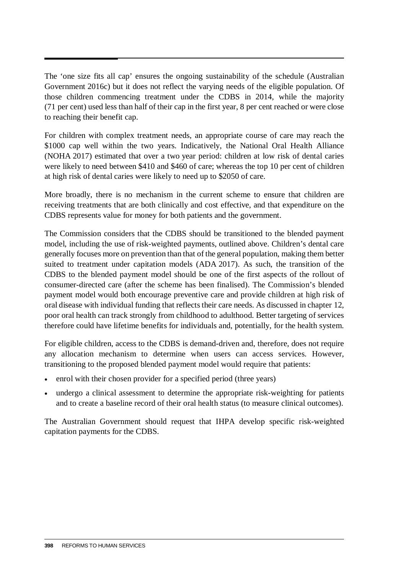The 'one size fits all cap' ensures the ongoing sustainability of the schedule (Australian Government 2016c) but it does not reflect the varying needs of the eligible population. Of those children commencing treatment under the CDBS in 2014, while the majority (71 per cent) used less than half of their cap in the first year, 8 per cent reached or were close to reaching their benefit cap.

For children with complex treatment needs, an appropriate course of care may reach the \$1000 cap well within the two years. Indicatively, the National Oral Health Alliance (NOHA 2017) estimated that over a two year period: children at low risk of dental caries were likely to need between \$410 and \$460 of care; whereas the top 10 per cent of children at high risk of dental caries were likely to need up to \$2050 of care.

More broadly, there is no mechanism in the current scheme to ensure that children are receiving treatments that are both clinically and cost effective, and that expenditure on the CDBS represents value for money for both patients and the government.

The Commission considers that the CDBS should be transitioned to the blended payment model, including the use of risk-weighted payments, outlined above. Children's dental care generally focuses more on prevention than that of the general population, making them better suited to treatment under capitation models (ADA 2017). As such, the transition of the CDBS to the blended payment model should be one of the first aspects of the rollout of consumer-directed care (after the scheme has been finalised). The Commission's blended payment model would both encourage preventive care and provide children at high risk of oral disease with individual funding that reflects their care needs. As discussed in chapter 12, poor oral health can track strongly from childhood to adulthood. Better targeting of services therefore could have lifetime benefits for individuals and, potentially, for the health system.

For eligible children, access to the CDBS is demand-driven and, therefore, does not require any allocation mechanism to determine when users can access services. However, transitioning to the proposed blended payment model would require that patients:

- enrol with their chosen provider for a specified period (three years)
- undergo a clinical assessment to determine the appropriate risk-weighting for patients and to create a baseline record of their oral health status (to measure clinical outcomes).

The Australian Government should request that IHPA develop specific risk-weighted capitation payments for the CDBS.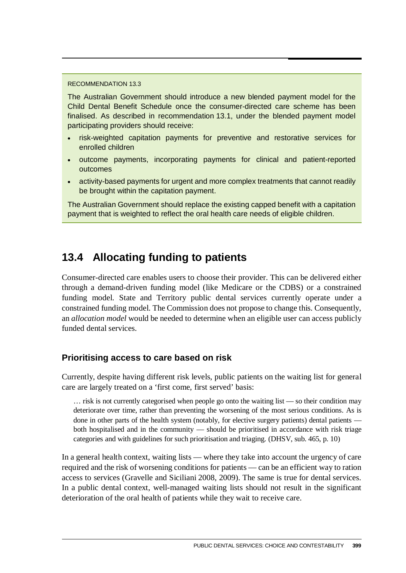#### RECOMMENDATION 13.3

The Australian Government should introduce a new blended payment model for the Child Dental Benefit Schedule once the consumer-directed care scheme has been finalised. As described in recommendation 13.1, under the blended payment model participating providers should receive:

- risk-weighted capitation payments for preventive and restorative services for enrolled children
- outcome payments, incorporating payments for clinical and patient-reported outcomes
- activity-based payments for urgent and more complex treatments that cannot readily be brought within the capitation payment.

The Australian Government should replace the existing capped benefit with a capitation payment that is weighted to reflect the oral health care needs of eligible children.

# **13.4 Allocating funding to patients**

Consumer-directed care enables users to choose their provider. This can be delivered either through a demand-driven funding model (like Medicare or the CDBS) or a constrained funding model. State and Territory public dental services currently operate under a constrained funding model. The Commission does not propose to change this. Consequently, an *allocation model* would be needed to determine when an eligible user can access publicly funded dental services.

#### **Prioritising access to care based on risk**

Currently, despite having different risk levels, public patients on the waiting list for general care are largely treated on a 'first come, first served' basis:

… risk is not currently categorised when people go onto the waiting list — so their condition may deteriorate over time, rather than preventing the worsening of the most serious conditions. As is done in other parts of the health system (notably, for elective surgery patients) dental patients both hospitalised and in the community — should be prioritised in accordance with risk triage categories and with guidelines for such prioritisation and triaging. (DHSV, sub. 465, p. 10)

In a general health context, waiting lists — where they take into account the urgency of care required and the risk of worsening conditions for patients — can be an efficient way to ration access to services (Gravelle and Siciliani 2008, 2009). The same is true for dental services. In a public dental context, well-managed waiting lists should not result in the significant deterioration of the oral health of patients while they wait to receive care.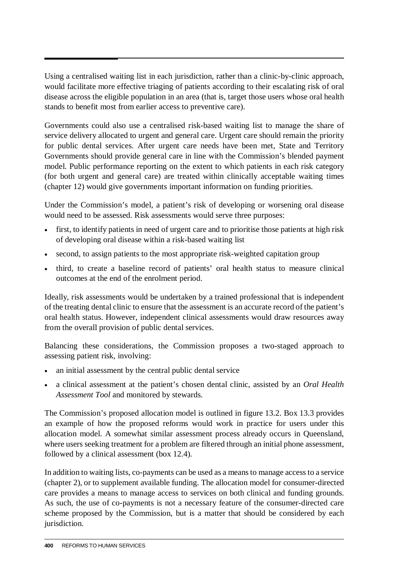Using a centralised waiting list in each jurisdiction, rather than a clinic-by-clinic approach, would facilitate more effective triaging of patients according to their escalating risk of oral disease across the eligible population in an area (that is, target those users whose oral health stands to benefit most from earlier access to preventive care).

Governments could also use a centralised risk-based waiting list to manage the share of service delivery allocated to urgent and general care. Urgent care should remain the priority for public dental services. After urgent care needs have been met, State and Territory Governments should provide general care in line with the Commission's blended payment model. Public performance reporting on the extent to which patients in each risk category (for both urgent and general care) are treated within clinically acceptable waiting times (chapter 12) would give governments important information on funding priorities.

Under the Commission's model, a patient's risk of developing or worsening oral disease would need to be assessed. Risk assessments would serve three purposes:

- first, to identify patients in need of urgent care and to prioritise those patients at high risk of developing oral disease within a risk-based waiting list
- second, to assign patients to the most appropriate risk-weighted capitation group
- third, to create a baseline record of patients' oral health status to measure clinical outcomes at the end of the enrolment period.

Ideally, risk assessments would be undertaken by a trained professional that is independent of the treating dental clinic to ensure that the assessment is an accurate record of the patient's oral health status. However, independent clinical assessments would draw resources away from the overall provision of public dental services.

Balancing these considerations, the Commission proposes a two-staged approach to assessing patient risk, involving:

- an initial assessment by the central public dental service
- a clinical assessment at the patient's chosen dental clinic, assisted by an *Oral Health Assessment Tool* and monitored by stewards.

The Commission's proposed allocation model is outlined in figure 13.2. Box 13.3 provides an example of how the proposed reforms would work in practice for users under this allocation model. A somewhat similar assessment process already occurs in Queensland, where users seeking treatment for a problem are filtered through an initial phone assessment, followed by a clinical assessment (box 12.4).

In addition to waiting lists, co-payments can be used as a means to manage access to a service (chapter 2), or to supplement available funding. The allocation model for consumer-directed care provides a means to manage access to services on both clinical and funding grounds. As such, the use of co-payments is not a necessary feature of the consumer-directed care scheme proposed by the Commission, but is a matter that should be considered by each jurisdiction.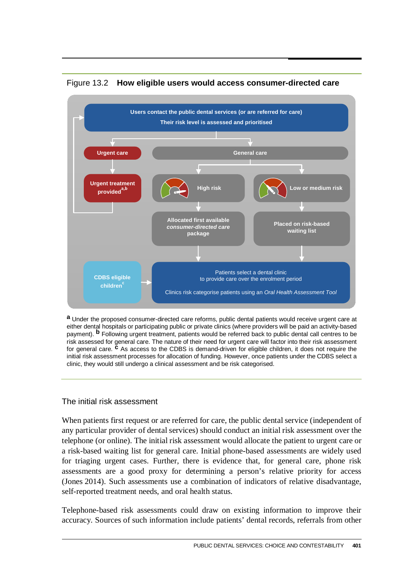

#### Figure 13.2 **How eligible users would access consumer-directed care**

**a** Under the proposed consumer-directed care reforms, public dental patients would receive urgent care at either dental hospitals or participating public or private clinics (where providers will be paid an activity-based payment). **b** Following urgent treatment, patients would be referred back to public dental call centres to be risk assessed for general care. The nature of their need for urgent care will factor into their risk assessment for general care. **c** As access to the CDBS is demand-driven for eligible children, it does not require the initial risk assessment processes for allocation of funding. However, once patients under the CDBS select a clinic, they would still undergo a clinical assessment and be risk categorised.

#### The initial risk assessment

When patients first request or are referred for care, the public dental service (independent of any particular provider of dental services) should conduct an initial risk assessment over the telephone (or online). The initial risk assessment would allocate the patient to urgent care or a risk-based waiting list for general care. Initial phone-based assessments are widely used for triaging urgent cases. Further, there is evidence that, for general care, phone risk assessments are a good proxy for determining a person's relative priority for access (Jones 2014). Such assessments use a combination of indicators of relative disadvantage, self-reported treatment needs, and oral health status.

Telephone-based risk assessments could draw on existing information to improve their accuracy. Sources of such information include patients' dental records, referrals from other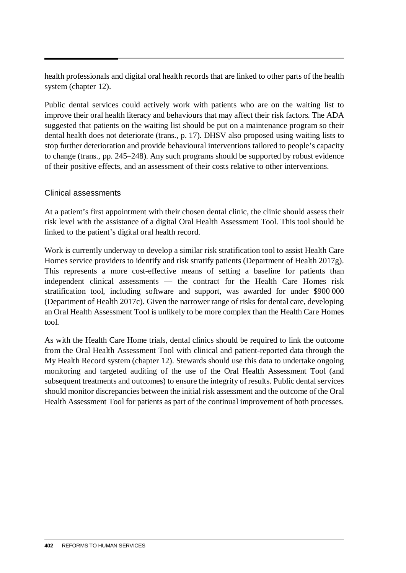health professionals and digital oral health records that are linked to other parts of the health system (chapter 12).

Public dental services could actively work with patients who are on the waiting list to improve their oral health literacy and behaviours that may affect their risk factors. The ADA suggested that patients on the waiting list should be put on a maintenance program so their dental health does not deteriorate (trans., p. 17). DHSV also proposed using waiting lists to stop further deterioration and provide behavioural interventions tailored to people's capacity to change (trans., pp. 245–248). Any such programs should be supported by robust evidence of their positive effects, and an assessment of their costs relative to other interventions.

#### Clinical assessments

At a patient's first appointment with their chosen dental clinic, the clinic should assess their risk level with the assistance of a digital Oral Health Assessment Tool. This tool should be linked to the patient's digital oral health record.

Work is currently underway to develop a similar risk stratification tool to assist Health Care Homes service providers to identify and risk stratify patients (Department of Health 2017g). This represents a more cost-effective means of setting a baseline for patients than independent clinical assessments — the contract for the Health Care Homes risk stratification tool, including software and support, was awarded for under \$900 000 (Department of Health 2017c). Given the narrower range of risks for dental care, developing an Oral Health Assessment Tool is unlikely to be more complex than the Health Care Homes tool.

As with the Health Care Home trials, dental clinics should be required to link the outcome from the Oral Health Assessment Tool with clinical and patient-reported data through the My Health Record system (chapter 12). Stewards should use this data to undertake ongoing monitoring and targeted auditing of the use of the Oral Health Assessment Tool (and subsequent treatments and outcomes) to ensure the integrity of results. Public dental services should monitor discrepancies between the initial risk assessment and the outcome of the Oral Health Assessment Tool for patients as part of the continual improvement of both processes.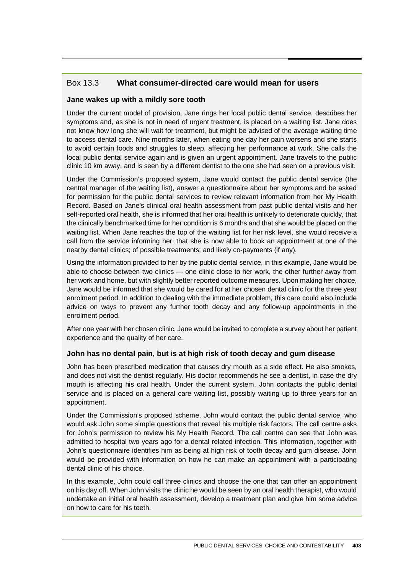#### Box 13.3 **What consumer-directed care would mean for users**

#### **Jane wakes up with a mildly sore tooth**

Under the current model of provision, Jane rings her local public dental service, describes her symptoms and, as she is not in need of urgent treatment, is placed on a waiting list. Jane does not know how long she will wait for treatment, but might be advised of the average waiting time to access dental care. Nine months later, when eating one day her pain worsens and she starts to avoid certain foods and struggles to sleep, affecting her performance at work. She calls the local public dental service again and is given an urgent appointment. Jane travels to the public clinic 10 km away, and is seen by a different dentist to the one she had seen on a previous visit.

Under the Commission's proposed system, Jane would contact the public dental service (the central manager of the waiting list), answer a questionnaire about her symptoms and be asked for permission for the public dental services to review relevant information from her My Health Record. Based on Jane's clinical oral health assessment from past public dental visits and her self-reported oral health, she is informed that her oral health is unlikely to deteriorate quickly, that the clinically benchmarked time for her condition is 6 months and that she would be placed on the waiting list. When Jane reaches the top of the waiting list for her risk level, she would receive a call from the service informing her: that she is now able to book an appointment at one of the nearby dental clinics; of possible treatments; and likely co-payments (if any).

Using the information provided to her by the public dental service, in this example, Jane would be able to choose between two clinics — one clinic close to her work, the other further away from her work and home, but with slightly better reported outcome measures. Upon making her choice, Jane would be informed that she would be cared for at her chosen dental clinic for the three year enrolment period. In addition to dealing with the immediate problem, this care could also include advice on ways to prevent any further tooth decay and any follow-up appointments in the enrolment period.

After one year with her chosen clinic, Jane would be invited to complete a survey about her patient experience and the quality of her care.

#### **John has no dental pain, but is at high risk of tooth decay and gum disease**

John has been prescribed medication that causes dry mouth as a side effect. He also smokes, and does not visit the dentist regularly. His doctor recommends he see a dentist, in case the dry mouth is affecting his oral health. Under the current system, John contacts the public dental service and is placed on a general care waiting list, possibly waiting up to three years for an appointment.

Under the Commission's proposed scheme, John would contact the public dental service, who would ask John some simple questions that reveal his multiple risk factors. The call centre asks for John's permission to review his My Health Record. The call centre can see that John was admitted to hospital two years ago for a dental related infection. This information, together with John's questionnaire identifies him as being at high risk of tooth decay and gum disease. John would be provided with information on how he can make an appointment with a participating dental clinic of his choice.

In this example, John could call three clinics and choose the one that can offer an appointment on his day off. When John visits the clinic he would be seen by an oral health therapist, who would undertake an initial oral health assessment, develop a treatment plan and give him some advice on how to care for his teeth.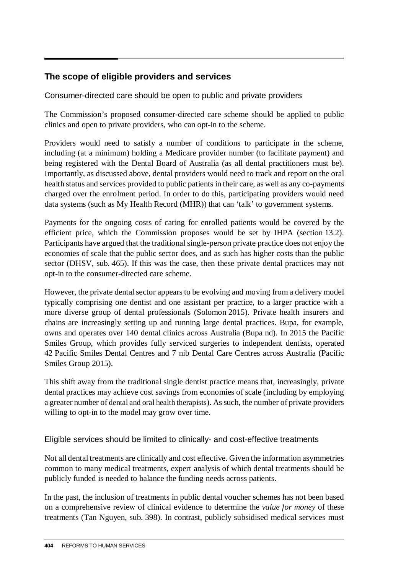# **The scope of eligible providers and services**

Consumer-directed care should be open to public and private providers

The Commission's proposed consumer-directed care scheme should be applied to public clinics and open to private providers, who can opt-in to the scheme.

Providers would need to satisfy a number of conditions to participate in the scheme, including (at a minimum) holding a Medicare provider number (to facilitate payment) and being registered with the Dental Board of Australia (as all dental practitioners must be). Importantly, as discussed above, dental providers would need to track and report on the oral health status and services provided to public patients in their care, as well as any co-payments charged over the enrolment period. In order to do this, participating providers would need data systems (such as My Health Record (MHR)) that can 'talk' to government systems.

Payments for the ongoing costs of caring for enrolled patients would be covered by the efficient price, which the Commission proposes would be set by IHPA (section 13.2). Participants have argued that the traditional single-person private practice does not enjoy the economies of scale that the public sector does, and as such has higher costs than the public sector (DHSV, sub. 465). If this was the case, then these private dental practices may not opt-in to the consumer-directed care scheme.

However, the private dental sector appears to be evolving and moving from a delivery model typically comprising one dentist and one assistant per practice, to a larger practice with a more diverse group of dental professionals (Solomon 2015). Private health insurers and chains are increasingly setting up and running large dental practices. Bupa, for example, owns and operates over 140 dental clinics across Australia (Bupa nd). In 2015 the Pacific Smiles Group, which provides fully serviced surgeries to independent dentists, operated 42 Pacific Smiles Dental Centres and 7 nib Dental Care Centres across Australia (Pacific Smiles Group 2015).

This shift away from the traditional single dentist practice means that, increasingly, private dental practices may achieve cost savings from economies of scale (including by employing a greater number of dental and oral health therapists). As such, the number of private providers willing to opt-in to the model may grow over time.

# Eligible services should be limited to clinically- and cost-effective treatments

Not all dental treatments are clinically and cost effective. Given the information asymmetries common to many medical treatments, expert analysis of which dental treatments should be publicly funded is needed to balance the funding needs across patients.

In the past, the inclusion of treatments in public dental voucher schemes has not been based on a comprehensive review of clinical evidence to determine the *value for money* of these treatments (Tan Nguyen, sub. 398). In contrast, publicly subsidised medical services must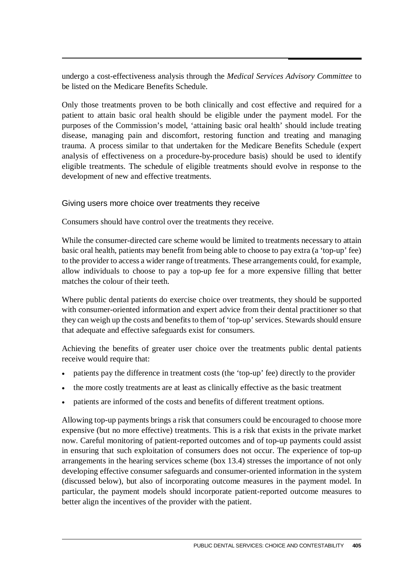undergo a cost-effectiveness analysis through the *Medical Services Advisory Committee* to be listed on the Medicare Benefits Schedule.

Only those treatments proven to be both clinically and cost effective and required for a patient to attain basic oral health should be eligible under the payment model. For the purposes of the Commission's model, 'attaining basic oral health' should include treating disease, managing pain and discomfort, restoring function and treating and managing trauma. A process similar to that undertaken for the Medicare Benefits Schedule (expert analysis of effectiveness on a procedure-by-procedure basis) should be used to identify eligible treatments. The schedule of eligible treatments should evolve in response to the development of new and effective treatments.

#### Giving users more choice over treatments they receive

Consumers should have control over the treatments they receive.

While the consumer-directed care scheme would be limited to treatments necessary to attain basic oral health, patients may benefit from being able to choose to pay extra (a 'top-up' fee) to the provider to access a wider range of treatments. These arrangements could, for example, allow individuals to choose to pay a top-up fee for a more expensive filling that better matches the colour of their teeth.

Where public dental patients do exercise choice over treatments, they should be supported with consumer-oriented information and expert advice from their dental practitioner so that they can weigh up the costs and benefits to them of 'top-up' services. Stewards should ensure that adequate and effective safeguards exist for consumers.

Achieving the benefits of greater user choice over the treatments public dental patients receive would require that:

- patients pay the difference in treatment costs (the 'top-up' fee) directly to the provider
- the more costly treatments are at least as clinically effective as the basic treatment
- patients are informed of the costs and benefits of different treatment options.

Allowing top-up payments brings a risk that consumers could be encouraged to choose more expensive (but no more effective) treatments. This is a risk that exists in the private market now. Careful monitoring of patient-reported outcomes and of top-up payments could assist in ensuring that such exploitation of consumers does not occur. The experience of top-up arrangements in the hearing services scheme (box 13.4) stresses the importance of not only developing effective consumer safeguards and consumer-oriented information in the system (discussed below), but also of incorporating outcome measures in the payment model. In particular, the payment models should incorporate patient-reported outcome measures to better align the incentives of the provider with the patient.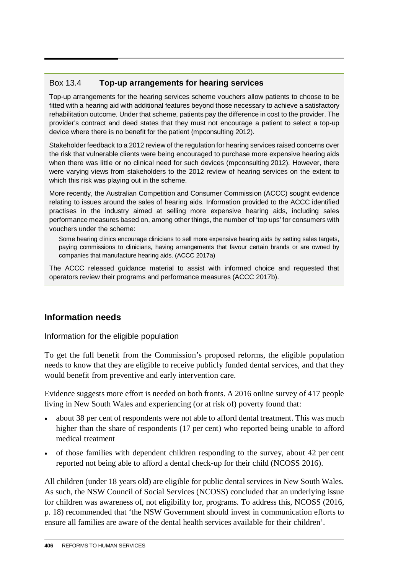# Box 13.4 **Top-up arrangements for hearing services**

Top-up arrangements for the hearing services scheme vouchers allow patients to choose to be fitted with a hearing aid with additional features beyond those necessary to achieve a satisfactory rehabilitation outcome. Under that scheme, patients pay the difference in cost to the provider. The provider's contract and deed states that they must not encourage a patient to select a top-up device where there is no benefit for the patient (mpconsulting 2012).

Stakeholder feedback to a 2012 review of the regulation for hearing services raised concerns over the risk that vulnerable clients were being encouraged to purchase more expensive hearing aids when there was little or no clinical need for such devices (mpconsulting 2012). However, there were varying views from stakeholders to the 2012 review of hearing services on the extent to which this risk was playing out in the scheme.

More recently, the Australian Competition and Consumer Commission (ACCC) sought evidence relating to issues around the sales of hearing aids. Information provided to the ACCC identified practises in the industry aimed at selling more expensive hearing aids, including sales performance measures based on, among other things, the number of 'top ups' for consumers with vouchers under the scheme:

Some hearing clinics encourage clinicians to sell more expensive hearing aids by setting sales targets, paying commissions to clinicians, having arrangements that favour certain brands or are owned by companies that manufacture hearing aids. (ACCC 2017a)

The ACCC released guidance material to assist with informed choice and requested that operators review their programs and performance measures (ACCC 2017b).

# **Information needs**

Information for the eligible population

To get the full benefit from the Commission's proposed reforms, the eligible population needs to know that they are eligible to receive publicly funded dental services, and that they would benefit from preventive and early intervention care.

Evidence suggests more effort is needed on both fronts. A 2016 online survey of 417 people living in New South Wales and experiencing (or at risk of) poverty found that:

- about 38 per cent of respondents were not able to afford dental treatment. This was much higher than the share of respondents (17 per cent) who reported being unable to afford medical treatment
- of those families with dependent children responding to the survey, about 42 per cent reported not being able to afford a dental check-up for their child (NCOSS 2016).

All children (under 18 years old) are eligible for public dental services in New South Wales. As such, the NSW Council of Social Services (NCOSS) concluded that an underlying issue for children was awareness of, not eligibility for, programs. To address this, NCOSS (2016, p. 18) recommended that 'the NSW Government should invest in communication efforts to ensure all families are aware of the dental health services available for their children'.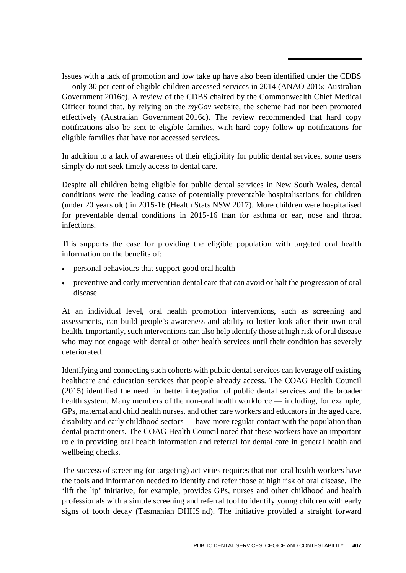Issues with a lack of promotion and low take up have also been identified under the CDBS — only 30 per cent of eligible children accessed services in 2014 (ANAO 2015; Australian Government 2016c). A review of the CDBS chaired by the Commonwealth Chief Medical Officer found that, by relying on the *myGov* website, the scheme had not been promoted effectively (Australian Government 2016c). The review recommended that hard copy notifications also be sent to eligible families, with hard copy follow-up notifications for eligible families that have not accessed services.

In addition to a lack of awareness of their eligibility for public dental services, some users simply do not seek timely access to dental care.

Despite all children being eligible for public dental services in New South Wales, dental conditions were the leading cause of potentially preventable hospitalisations for children (under 20 years old) in 2015-16 (Health Stats NSW 2017). More children were hospitalised for preventable dental conditions in 2015-16 than for asthma or ear, nose and throat infections.

This supports the case for providing the eligible population with targeted oral health information on the benefits of:

- personal behaviours that support good oral health
- preventive and early intervention dental care that can avoid or halt the progression of oral disease.

At an individual level, oral health promotion interventions, such as screening and assessments, can build people's awareness and ability to better look after their own oral health. Importantly, such interventions can also help identify those at high risk of oral disease who may not engage with dental or other health services until their condition has severely deteriorated.

Identifying and connecting such cohorts with public dental services can leverage off existing healthcare and education services that people already access. The COAG Health Council (2015) identified the need for better integration of public dental services and the broader health system. Many members of the non-oral health workforce — including, for example, GPs, maternal and child health nurses, and other care workers and educators in the aged care, disability and early childhood sectors — have more regular contact with the population than dental practitioners. The COAG Health Council noted that these workers have an important role in providing oral health information and referral for dental care in general health and wellbeing checks.

The success of screening (or targeting) activities requires that non-oral health workers have the tools and information needed to identify and refer those at high risk of oral disease. The 'lift the lip' initiative, for example, provides GPs, nurses and other childhood and health professionals with a simple screening and referral tool to identify young children with early signs of tooth decay (Tasmanian DHHS nd). The initiative provided a straight forward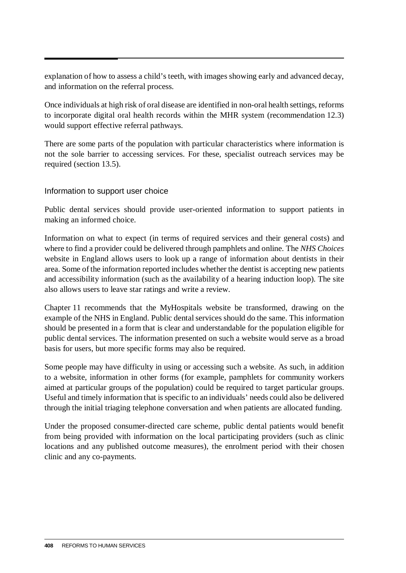explanation of how to assess a child's teeth, with images showing early and advanced decay, and information on the referral process.

Once individuals at high risk of oral disease are identified in non-oral health settings, reforms to incorporate digital oral health records within the MHR system (recommendation 12.3) would support effective referral pathways.

There are some parts of the population with particular characteristics where information is not the sole barrier to accessing services. For these, specialist outreach services may be required (section 13.5).

#### Information to support user choice

Public dental services should provide user-oriented information to support patients in making an informed choice.

Information on what to expect (in terms of required services and their general costs) and where to find a provider could be delivered through pamphlets and online. The *NHS Choices* website in England allows users to look up a range of information about dentists in their area. Some of the information reported includes whether the dentist is accepting new patients and accessibility information (such as the availability of a hearing induction loop). The site also allows users to leave star ratings and write a review.

Chapter 11 recommends that the MyHospitals website be transformed, drawing on the example of the NHS in England. Public dental services should do the same. This information should be presented in a form that is clear and understandable for the population eligible for public dental services. The information presented on such a website would serve as a broad basis for users, but more specific forms may also be required.

Some people may have difficulty in using or accessing such a website. As such, in addition to a website, information in other forms (for example, pamphlets for community workers aimed at particular groups of the population) could be required to target particular groups. Useful and timely information that is specific to an individuals' needs could also be delivered through the initial triaging telephone conversation and when patients are allocated funding.

Under the proposed consumer-directed care scheme, public dental patients would benefit from being provided with information on the local participating providers (such as clinic locations and any published outcome measures), the enrolment period with their chosen clinic and any co-payments.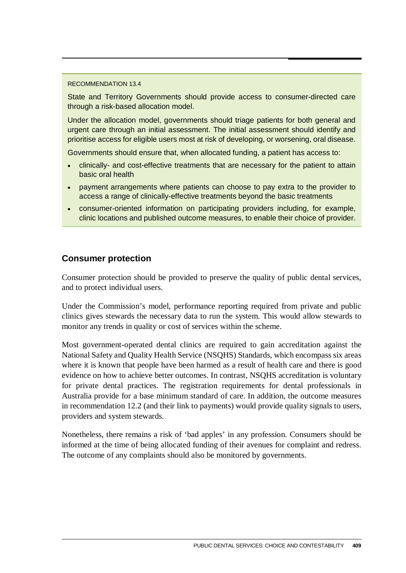#### RECOMMENDATION 13.4

State and Territory Governments should provide access to consumer-directed care through a risk-based allocation model.

Under the allocation model, governments should triage patients for both general and urgent care through an initial assessment. The initial assessment should identify and prioritise access for eligible users most at risk of developing, or worsening, oral disease.

Governments should ensure that, when allocated funding, a patient has access to:

- clinically- and cost-effective treatments that are necessary for the patient to attain basic oral health
- payment arrangements where patients can choose to pay extra to the provider to access a range of clinically-effective treatments beyond the basic treatments
- consumer-oriented information on participating providers including, for example, clinic locations and published outcome measures, to enable their choice of provider.

#### **Consumer protection**

Consumer protection should be provided to preserve the quality of public dental services, and to protect individual users.

Under the Commission's model, performance reporting required from private and public clinics gives stewards the necessary data to run the system. This would allow stewards to monitor any trends in quality or cost of services within the scheme.

Most government-operated dental clinics are required to gain accreditation against the National Safety and Quality Health Service (NSQHS) Standards, which encompass six areas where it is known that people have been harmed as a result of health care and there is good evidence on how to achieve better outcomes. In contrast, NSQHS accreditation is voluntary for private dental practices. The registration requirements for dental professionals in Australia provide for a base minimum standard of care. In addition, the outcome measures in recommendation 12.2 (and their link to payments) would provide quality signals to users, providers and system stewards.

Nonetheless, there remains a risk of 'bad apples' in any profession. Consumers should be informed at the time of being allocated funding of their avenues for complaint and redress. The outcome of any complaints should also be monitored by governments.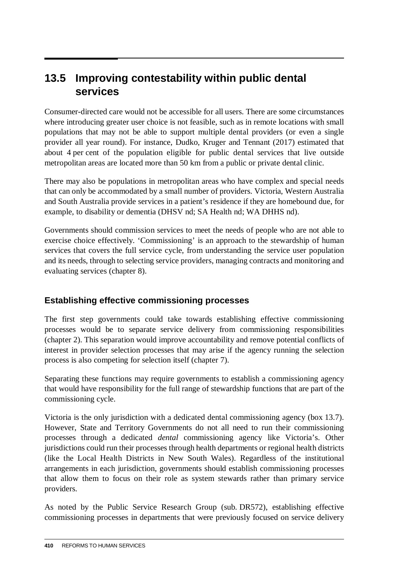# **13.5 Improving contestability within public dental services**

Consumer-directed care would not be accessible for all users. There are some circumstances where introducing greater user choice is not feasible, such as in remote locations with small populations that may not be able to support multiple dental providers (or even a single provider all year round). For instance, Dudko, Kruger and Tennant (2017) estimated that about 4 per cent of the population eligible for public dental services that live outside metropolitan areas are located more than 50 km from a public or private dental clinic.

There may also be populations in metropolitan areas who have complex and special needs that can only be accommodated by a small number of providers. Victoria, Western Australia and South Australia provide services in a patient's residence if they are homebound due, for example, to disability or dementia (DHSV nd; SA Health nd; WA DHHS nd).

Governments should commission services to meet the needs of people who are not able to exercise choice effectively. 'Commissioning' is an approach to the stewardship of human services that covers the full service cycle, from understanding the service user population and its needs, through to selecting service providers, managing contracts and monitoring and evaluating services (chapter 8).

# **Establishing effective commissioning processes**

The first step governments could take towards establishing effective commissioning processes would be to separate service delivery from commissioning responsibilities (chapter 2). This separation would improve accountability and remove potential conflicts of interest in provider selection processes that may arise if the agency running the selection process is also competing for selection itself (chapter 7).

Separating these functions may require governments to establish a commissioning agency that would have responsibility for the full range of stewardship functions that are part of the commissioning cycle.

Victoria is the only jurisdiction with a dedicated dental commissioning agency (box 13.7). However, State and Territory Governments do not all need to run their commissioning processes through a dedicated *dental* commissioning agency like Victoria's. Other jurisdictions could run their processes through health departments or regional health districts (like the Local Health Districts in New South Wales). Regardless of the institutional arrangements in each jurisdiction, governments should establish commissioning processes that allow them to focus on their role as system stewards rather than primary service providers.

As noted by the Public Service Research Group (sub. DR572), establishing effective commissioning processes in departments that were previously focused on service delivery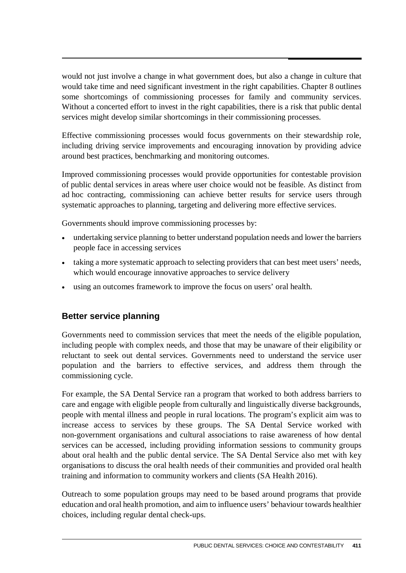would not just involve a change in what government does, but also a change in culture that would take time and need significant investment in the right capabilities. Chapter 8 outlines some shortcomings of commissioning processes for family and community services. Without a concerted effort to invest in the right capabilities, there is a risk that public dental services might develop similar shortcomings in their commissioning processes.

Effective commissioning processes would focus governments on their stewardship role, including driving service improvements and encouraging innovation by providing advice around best practices, benchmarking and monitoring outcomes.

Improved commissioning processes would provide opportunities for contestable provision of public dental services in areas where user choice would not be feasible. As distinct from ad hoc contracting, commissioning can achieve better results for service users through systematic approaches to planning, targeting and delivering more effective services.

Governments should improve commissioning processes by:

- undertaking service planning to better understand population needs and lower the barriers people face in accessing services
- taking a more systematic approach to selecting providers that can best meet users' needs, which would encourage innovative approaches to service delivery
- using an outcomes framework to improve the focus on users' oral health.

# **Better service planning**

Governments need to commission services that meet the needs of the eligible population, including people with complex needs, and those that may be unaware of their eligibility or reluctant to seek out dental services. Governments need to understand the service user population and the barriers to effective services, and address them through the commissioning cycle.

For example, the SA Dental Service ran a program that worked to both address barriers to care and engage with eligible people from culturally and linguistically diverse backgrounds, people with mental illness and people in rural locations. The program's explicit aim was to increase access to services by these groups. The SA Dental Service worked with non-government organisations and cultural associations to raise awareness of how dental services can be accessed, including providing information sessions to community groups about oral health and the public dental service. The SA Dental Service also met with key organisations to discuss the oral health needs of their communities and provided oral health training and information to community workers and clients (SA Health 2016).

Outreach to some population groups may need to be based around programs that provide education and oral health promotion, and aim to influence users' behaviour towards healthier choices, including regular dental check-ups.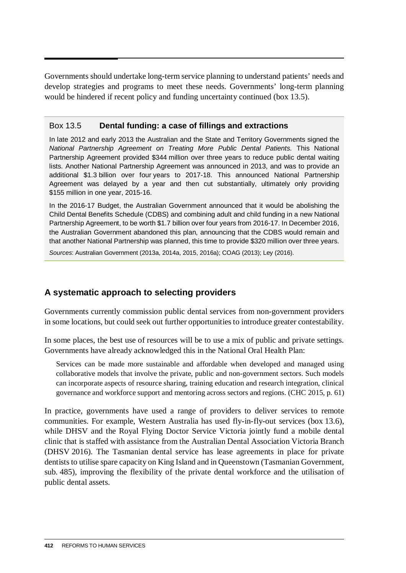Governments should undertake long-term service planning to understand patients' needs and develop strategies and programs to meet these needs. Governments' long-term planning would be hindered if recent policy and funding uncertainty continued (box 13.5).

#### Box 13.5 **Dental funding: a case of fillings and extractions**

In late 2012 and early 2013 the Australian and the State and Territory Governments signed the *National Partnership Agreement on Treating More Public Dental Patients.* This National Partnership Agreement provided \$344 million over three years to reduce public dental waiting lists. Another National Partnership Agreement was announced in 2013, and was to provide an additional \$1.3 billion over four years to 2017-18. This announced National Partnership Agreement was delayed by a year and then cut substantially, ultimately only providing \$155 million in one year, 2015-16.

In the 2016-17 Budget, the Australian Government announced that it would be abolishing the Child Dental Benefits Schedule (CDBS) and combining adult and child funding in a new National Partnership Agreement, to be worth \$1.7 billion over four years from 2016-17. In December 2016, the Australian Government abandoned this plan, announcing that the CDBS would remain and that another National Partnership was planned, this time to provide \$320 million over three years.

*Sources*: Australian Government (2013a, 2014a, 2015, 2016a); COAG (2013); Ley (2016).

# **A systematic approach to selecting providers**

Governments currently commission public dental services from non-government providers in some locations, but could seek out further opportunities to introduce greater contestability.

In some places, the best use of resources will be to use a mix of public and private settings. Governments have already acknowledged this in the National Oral Health Plan:

Services can be made more sustainable and affordable when developed and managed using collaborative models that involve the private, public and non-government sectors. Such models can incorporate aspects of resource sharing, training education and research integration, clinical governance and workforce support and mentoring across sectors and regions. (CHC 2015, p. 61)

In practice, governments have used a range of providers to deliver services to remote communities. For example, Western Australia has used fly-in-fly-out services (box 13.6), while DHSV and the Royal Flying Doctor Service Victoria jointly fund a mobile dental clinic that is staffed with assistance from the Australian Dental Association Victoria Branch (DHSV 2016). The Tasmanian dental service has lease agreements in place for private dentists to utilise spare capacity on King Island and in Queenstown (Tasmanian Government, sub. 485), improving the flexibility of the private dental workforce and the utilisation of public dental assets.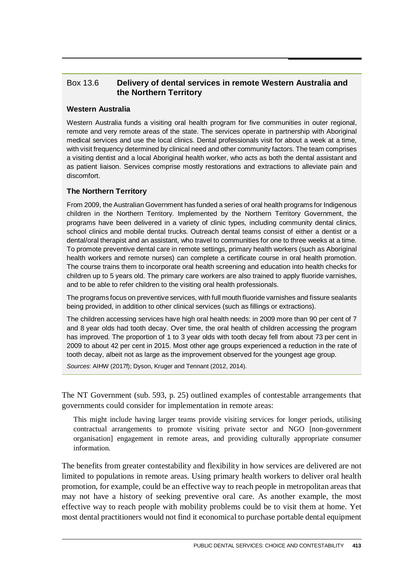#### Box 13.6 **Delivery of dental services in remote Western Australia and the Northern Territory**

#### **Western Australia**

Western Australia funds a visiting oral health program for five communities in outer regional, remote and very remote areas of the state. The services operate in partnership with Aboriginal medical services and use the local clinics. Dental professionals visit for about a week at a time, with visit frequency determined by clinical need and other community factors. The team comprises a visiting dentist and a local Aboriginal health worker, who acts as both the dental assistant and as patient liaison. Services comprise mostly restorations and extractions to alleviate pain and discomfort.

#### **The Northern Territory**

From 2009, the Australian Government has funded a series of oral health programs for Indigenous children in the Northern Territory. Implemented by the Northern Territory Government, the programs have been delivered in a variety of clinic types, including community dental clinics, school clinics and mobile dental trucks. Outreach dental teams consist of either a dentist or a dental/oral therapist and an assistant, who travel to communities for one to three weeks at a time. To promote preventive dental care in remote settings, primary health workers (such as Aboriginal health workers and remote nurses) can complete a certificate course in oral health promotion. The course trains them to incorporate oral health screening and education into health checks for children up to 5 years old. The primary care workers are also trained to apply fluoride varnishes, and to be able to refer children to the visiting oral health professionals.

The programs focus on preventive services, with full mouth fluoride varnishes and fissure sealants being provided, in addition to other clinical services (such as fillings or extractions).

The children accessing services have high oral health needs: in 2009 more than 90 per cent of 7 and 8 year olds had tooth decay. Over time, the oral health of children accessing the program has improved. The proportion of 1 to 3 year olds with tooth decay fell from about 73 per cent in 2009 to about 42 per cent in 2015. Most other age groups experienced a reduction in the rate of tooth decay, albeit not as large as the improvement observed for the youngest age group.

*Sources*: AIHW (2017f); Dyson, Kruger and Tennant (2012, 2014).

The NT Government (sub. 593, p. 25) outlined examples of contestable arrangements that governments could consider for implementation in remote areas:

This might include having larger teams provide visiting services for longer periods, utilising contractual arrangements to promote visiting private sector and NGO [non-government organisation] engagement in remote areas, and providing culturally appropriate consumer information.

The benefits from greater contestability and flexibility in how services are delivered are not limited to populations in remote areas. Using primary health workers to deliver oral health promotion, for example, could be an effective way to reach people in metropolitan areas that may not have a history of seeking preventive oral care. As another example, the most effective way to reach people with mobility problems could be to visit them at home. Yet most dental practitioners would not find it economical to purchase portable dental equipment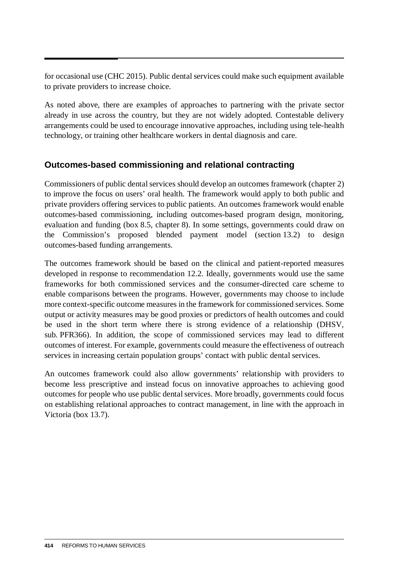for occasional use (CHC 2015). Public dental services could make such equipment available to private providers to increase choice.

As noted above, there are examples of approaches to partnering with the private sector already in use across the country, but they are not widely adopted. Contestable delivery arrangements could be used to encourage innovative approaches, including using tele-health technology, or training other healthcare workers in dental diagnosis and care.

# **Outcomes-based commissioning and relational contracting**

Commissioners of public dental services should develop an outcomes framework (chapter 2) to improve the focus on users' oral health. The framework would apply to both public and private providers offering services to public patients. An outcomes framework would enable outcomes-based commissioning, including outcomes-based program design, monitoring, evaluation and funding (box 8.5, chapter 8). In some settings, governments could draw on the Commission's proposed blended payment model (section 13.2) to design outcomes-based funding arrangements.

The outcomes framework should be based on the clinical and patient-reported measures developed in response to recommendation 12.2. Ideally, governments would use the same frameworks for both commissioned services and the consumer-directed care scheme to enable comparisons between the programs. However, governments may choose to include more context-specific outcome measures in the framework for commissioned services. Some output or activity measures may be good proxies or predictors of health outcomes and could be used in the short term where there is strong evidence of a relationship (DHSV, sub. PFR366). In addition, the scope of commissioned services may lead to different outcomes of interest. For example, governments could measure the effectiveness of outreach services in increasing certain population groups' contact with public dental services.

An outcomes framework could also allow governments' relationship with providers to become less prescriptive and instead focus on innovative approaches to achieving good outcomes for people who use public dental services. More broadly, governments could focus on establishing relational approaches to contract management, in line with the approach in Victoria (box 13.7).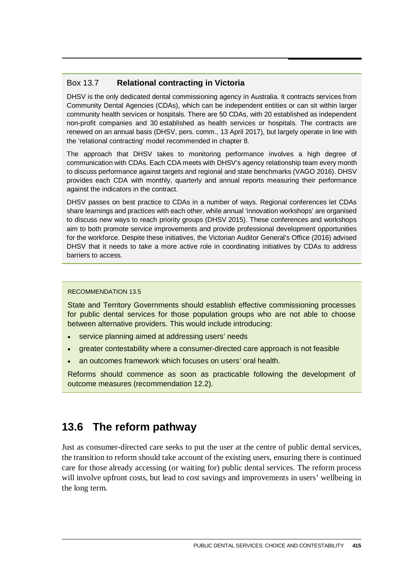#### Box 13.7 **Relational contracting in Victoria**

DHSV is the only dedicated dental commissioning agency in Australia. It contracts services from Community Dental Agencies (CDAs), which can be independent entities or can sit within larger community health services or hospitals. There are 50 CDAs, with 20 established as independent non-profit companies and 30 established as health services or hospitals. The contracts are renewed on an annual basis (DHSV, pers. comm., 13 April 2017), but largely operate in line with the 'relational contracting' model recommended in chapter 8.

The approach that DHSV takes to monitoring performance involves a high degree of communication with CDAs. Each CDA meets with DHSV's agency relationship team every month to discuss performance against targets and regional and state benchmarks (VAGO 2016). DHSV provides each CDA with monthly, quarterly and annual reports measuring their performance against the indicators in the contract.

DHSV passes on best practice to CDAs in a number of ways. Regional conferences let CDAs share learnings and practices with each other, while annual 'innovation workshops' are organised to discuss new ways to reach priority groups (DHSV 2015). These conferences and workshops aim to both promote service improvements and provide professional development opportunities for the workforce. Despite these initiatives, the Victorian Auditor General's Office (2016) advised DHSV that it needs to take a more active role in coordinating initiatives by CDAs to address barriers to access.

#### RECOMMENDATION 13.5

State and Territory Governments should establish effective commissioning processes for public dental services for those population groups who are not able to choose between alternative providers. This would include introducing:

- service planning aimed at addressing users' needs
- greater contestability where a consumer-directed care approach is not feasible
- an outcomes framework which focuses on users' oral health.

Reforms should commence as soon as practicable following the development of outcome measures (recommendation 12.2).

# **13.6 The reform pathway**

Just as consumer-directed care seeks to put the user at the centre of public dental services, the transition to reform should take account of the existing users, ensuring there is continued care for those already accessing (or waiting for) public dental services. The reform process will involve upfront costs, but lead to cost savings and improvements in users' wellbeing in the long term.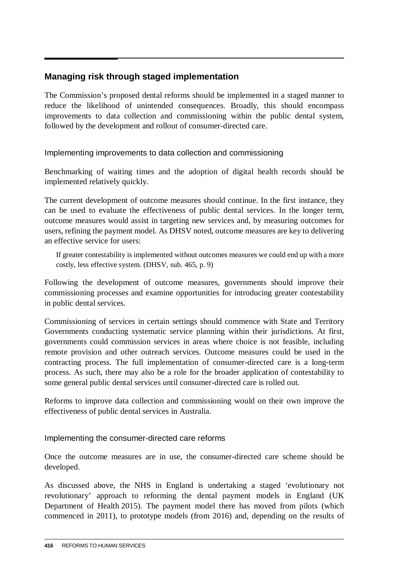# **Managing risk through staged implementation**

The Commission's proposed dental reforms should be implemented in a staged manner to reduce the likelihood of unintended consequences. Broadly, this should encompass improvements to data collection and commissioning within the public dental system, followed by the development and rollout of consumer-directed care.

Implementing improvements to data collection and commissioning

Benchmarking of waiting times and the adoption of digital health records should be implemented relatively quickly.

The current development of outcome measures should continue. In the first instance, they can be used to evaluate the effectiveness of public dental services. In the longer term, outcome measures would assist in targeting new services and, by measuring outcomes for users, refining the payment model. As DHSV noted, outcome measures are key to delivering an effective service for users:

If greater contestability is implemented without outcomes measures we could end up with a more costly, less effective system. (DHSV, sub. 465, p. 9)

Following the development of outcome measures, governments should improve their commissioning processes and examine opportunities for introducing greater contestability in public dental services.

Commissioning of services in certain settings should commence with State and Territory Governments conducting systematic service planning within their jurisdictions. At first, governments could commission services in areas where choice is not feasible, including remote provision and other outreach services. Outcome measures could be used in the contracting process. The full implementation of consumer-directed care is a long-term process. As such, there may also be a role for the broader application of contestability to some general public dental services until consumer-directed care is rolled out.

Reforms to improve data collection and commissioning would on their own improve the effectiveness of public dental services in Australia.

#### Implementing the consumer-directed care reforms

Once the outcome measures are in use, the consumer-directed care scheme should be developed.

As discussed above, the NHS in England is undertaking a staged 'evolutionary not revolutionary' approach to reforming the dental payment models in England (UK Department of Health 2015). The payment model there has moved from pilots (which commenced in 2011), to prototype models (from 2016) and, depending on the results of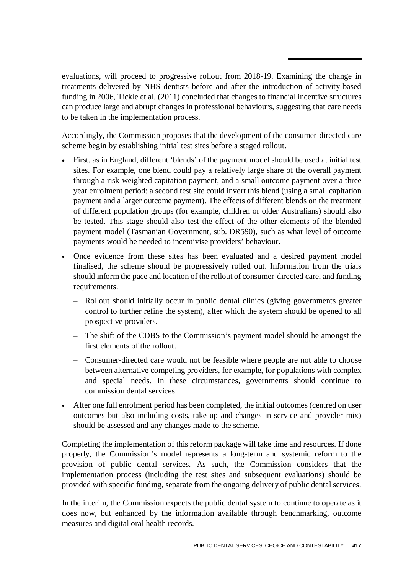evaluations, will proceed to progressive rollout from 2018-19. Examining the change in treatments delivered by NHS dentists before and after the introduction of activity-based funding in 2006, Tickle et al. (2011) concluded that changes to financial incentive structures can produce large and abrupt changes in professional behaviours, suggesting that care needs to be taken in the implementation process.

Accordingly, the Commission proposes that the development of the consumer-directed care scheme begin by establishing initial test sites before a staged rollout.

- First, as in England, different 'blends' of the payment model should be used at initial test sites. For example, one blend could pay a relatively large share of the overall payment through a risk-weighted capitation payment, and a small outcome payment over a three year enrolment period; a second test site could invert this blend (using a small capitation payment and a larger outcome payment). The effects of different blends on the treatment of different population groups (for example, children or older Australians) should also be tested. This stage should also test the effect of the other elements of the blended payment model (Tasmanian Government, sub. DR590), such as what level of outcome payments would be needed to incentivise providers' behaviour.
- Once evidence from these sites has been evaluated and a desired payment model finalised, the scheme should be progressively rolled out. Information from the trials should inform the pace and location of the rollout of consumer-directed care, and funding requirements.
	- Rollout should initially occur in public dental clinics (giving governments greater control to further refine the system), after which the system should be opened to all prospective providers.
	- The shift of the CDBS to the Commission's payment model should be amongst the first elements of the rollout.
	- Consumer-directed care would not be feasible where people are not able to choose between alternative competing providers, for example, for populations with complex and special needs. In these circumstances, governments should continue to commission dental services.
- After one full enrolment period has been completed, the initial outcomes (centred on user outcomes but also including costs, take up and changes in service and provider mix) should be assessed and any changes made to the scheme.

Completing the implementation of this reform package will take time and resources. If done properly, the Commission's model represents a long-term and systemic reform to the provision of public dental services. As such, the Commission considers that the implementation process (including the test sites and subsequent evaluations) should be provided with specific funding, separate from the ongoing delivery of public dental services.

In the interim, the Commission expects the public dental system to continue to operate as it does now, but enhanced by the information available through benchmarking, outcome measures and digital oral health records.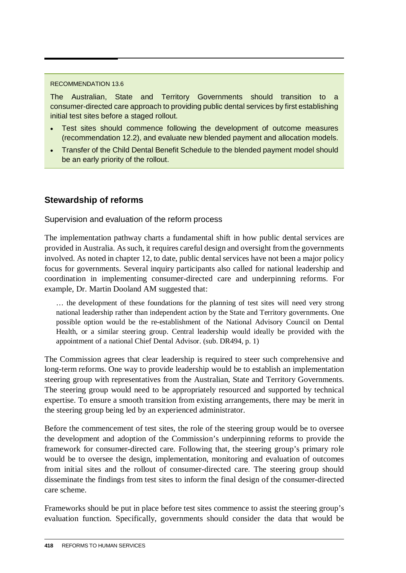#### RECOMMENDATION 13.6

The Australian, State and Territory Governments should transition to a consumer-directed care approach to providing public dental services by first establishing initial test sites before a staged rollout.

- Test sites should commence following the development of outcome measures (recommendation 12.2), and evaluate new blended payment and allocation models.
- Transfer of the Child Dental Benefit Schedule to the blended payment model should be an early priority of the rollout.

# **Stewardship of reforms**

#### Supervision and evaluation of the reform process

The implementation pathway charts a fundamental shift in how public dental services are provided in Australia. As such, it requires careful design and oversight from the governments involved. As noted in chapter 12, to date, public dental services have not been a major policy focus for governments. Several inquiry participants also called for national leadership and coordination in implementing consumer-directed care and underpinning reforms. For example, Dr. Martin Dooland AM suggested that:

… the development of these foundations for the planning of test sites will need very strong national leadership rather than independent action by the State and Territory governments. One possible option would be the re-establishment of the National Advisory Council on Dental Health, or a similar steering group. Central leadership would ideally be provided with the appointment of a national Chief Dental Advisor. (sub. DR494, p. 1)

The Commission agrees that clear leadership is required to steer such comprehensive and long-term reforms. One way to provide leadership would be to establish an implementation steering group with representatives from the Australian, State and Territory Governments. The steering group would need to be appropriately resourced and supported by technical expertise. To ensure a smooth transition from existing arrangements, there may be merit in the steering group being led by an experienced administrator.

Before the commencement of test sites, the role of the steering group would be to oversee the development and adoption of the Commission's underpinning reforms to provide the framework for consumer-directed care. Following that, the steering group's primary role would be to oversee the design, implementation, monitoring and evaluation of outcomes from initial sites and the rollout of consumer-directed care. The steering group should disseminate the findings from test sites to inform the final design of the consumer-directed care scheme.

Frameworks should be put in place before test sites commence to assist the steering group's evaluation function. Specifically, governments should consider the data that would be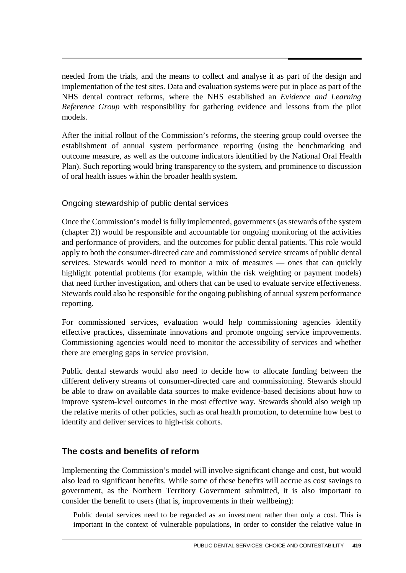needed from the trials, and the means to collect and analyse it as part of the design and implementation of the test sites. Data and evaluation systems were put in place as part of the NHS dental contract reforms, where the NHS established an *Evidence and Learning Reference Group* with responsibility for gathering evidence and lessons from the pilot models.

After the initial rollout of the Commission's reforms, the steering group could oversee the establishment of annual system performance reporting (using the benchmarking and outcome measure, as well as the outcome indicators identified by the National Oral Health Plan). Such reporting would bring transparency to the system, and prominence to discussion of oral health issues within the broader health system.

#### Ongoing stewardship of public dental services

Once the Commission's model is fully implemented, governments (as stewards of the system (chapter 2)) would be responsible and accountable for ongoing monitoring of the activities and performance of providers, and the outcomes for public dental patients. This role would apply to both the consumer-directed care and commissioned service streams of public dental services. Stewards would need to monitor a mix of measures — ones that can quickly highlight potential problems (for example, within the risk weighting or payment models) that need further investigation, and others that can be used to evaluate service effectiveness. Stewards could also be responsible for the ongoing publishing of annual system performance reporting.

For commissioned services, evaluation would help commissioning agencies identify effective practices, disseminate innovations and promote ongoing service improvements. Commissioning agencies would need to monitor the accessibility of services and whether there are emerging gaps in service provision.

Public dental stewards would also need to decide how to allocate funding between the different delivery streams of consumer-directed care and commissioning. Stewards should be able to draw on available data sources to make evidence-based decisions about how to improve system-level outcomes in the most effective way. Stewards should also weigh up the relative merits of other policies, such as oral health promotion, to determine how best to identify and deliver services to high-risk cohorts.

# **The costs and benefits of reform**

Implementing the Commission's model will involve significant change and cost, but would also lead to significant benefits. While some of these benefits will accrue as cost savings to government, as the Northern Territory Government submitted, it is also important to consider the benefit to users (that is, improvements in their wellbeing):

Public dental services need to be regarded as an investment rather than only a cost. This is important in the context of vulnerable populations, in order to consider the relative value in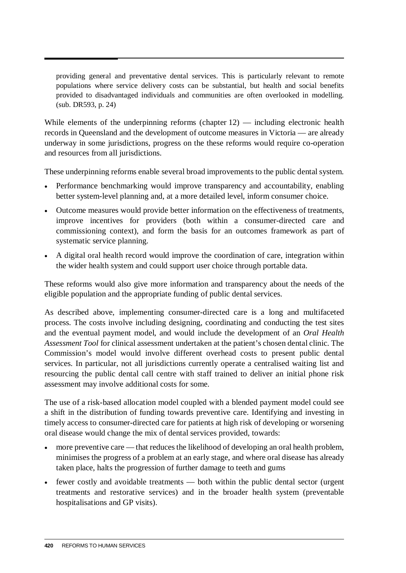providing general and preventative dental services. This is particularly relevant to remote populations where service delivery costs can be substantial, but health and social benefits provided to disadvantaged individuals and communities are often overlooked in modelling. (sub. DR593, p. 24)

While elements of the underpinning reforms (chapter 12) — including electronic health records in Queensland and the development of outcome measures in Victoria — are already underway in some jurisdictions, progress on the these reforms would require co-operation and resources from all jurisdictions.

These underpinning reforms enable several broad improvements to the public dental system.

- Performance benchmarking would improve transparency and accountability, enabling better system-level planning and, at a more detailed level, inform consumer choice.
- Outcome measures would provide better information on the effectiveness of treatments, improve incentives for providers (both within a consumer-directed care and commissioning context), and form the basis for an outcomes framework as part of systematic service planning.
- A digital oral health record would improve the coordination of care, integration within the wider health system and could support user choice through portable data.

These reforms would also give more information and transparency about the needs of the eligible population and the appropriate funding of public dental services.

As described above, implementing consumer-directed care is a long and multifaceted process. The costs involve including designing, coordinating and conducting the test sites and the eventual payment model, and would include the development of an *Oral Health Assessment Tool* for clinical assessment undertaken at the patient's chosen dental clinic. The Commission's model would involve different overhead costs to present public dental services. In particular, not all jurisdictions currently operate a centralised waiting list and resourcing the public dental call centre with staff trained to deliver an initial phone risk assessment may involve additional costs for some.

The use of a risk-based allocation model coupled with a blended payment model could see a shift in the distribution of funding towards preventive care. Identifying and investing in timely access to consumer-directed care for patients at high risk of developing or worsening oral disease would change the mix of dental services provided, towards:

- more preventive care that reduces the likelihood of developing an oral health problem, minimises the progress of a problem at an early stage, and where oral disease has already taken place, halts the progression of further damage to teeth and gums
- fewer costly and avoidable treatments both within the public dental sector (urgent treatments and restorative services) and in the broader health system (preventable hospitalisations and GP visits).